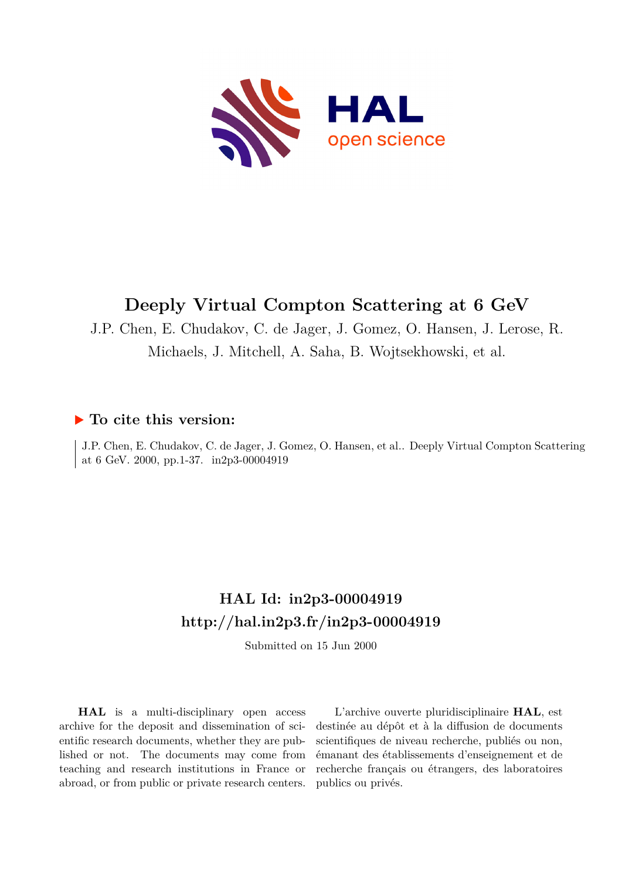

# **Deeply Virtual Compton Scattering at 6 GeV**

J.P. Chen, E. Chudakov, C. de Jager, J. Gomez, O. Hansen, J. Lerose, R. Michaels, J. Mitchell, A. Saha, B. Wojtsekhowski, et al.

# **To cite this version:**

J.P. Chen, E. Chudakov, C. de Jager, J. Gomez, O. Hansen, et al.. Deeply Virtual Compton Scattering at 6 GeV. 2000, pp.1-37. in2p3-00004919

# **HAL Id: in2p3-00004919 <http://hal.in2p3.fr/in2p3-00004919>**

Submitted on 15 Jun 2000

**HAL** is a multi-disciplinary open access archive for the deposit and dissemination of scientific research documents, whether they are published or not. The documents may come from teaching and research institutions in France or abroad, or from public or private research centers.

L'archive ouverte pluridisciplinaire **HAL**, est destinée au dépôt et à la diffusion de documents scientifiques de niveau recherche, publiés ou non, émanant des établissements d'enseignement et de recherche français ou étrangers, des laboratoires publics ou privés.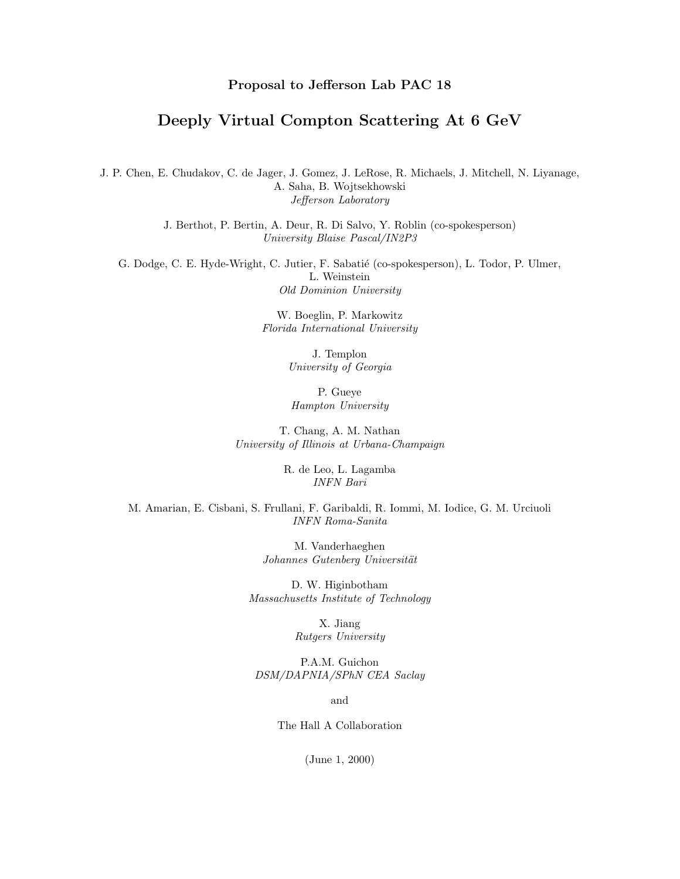### **Proposal to Jefferson Lab PAC 18**

# **Deeply Virtual Compton Scattering At 6 GeV**

J. P. Chen, E. Chudakov, C. de Jager, J. Gomez, J. LeRose, R. Michaels, J. Mitchell, N. Liyanage, A. Saha, B. Wojtsekhowski Jefferson Laboratory

> J. Berthot, P. Bertin, A. Deur, R. Di Salvo, Y. Roblin (co-spokesperson) University Blaise Pascal/IN2P3

G. Dodge, C. E. Hyde-Wright, C. Jutier, F. Sabatié (co-spokesperson), L. Todor, P. Ulmer, L. Weinstein Old Dominion University

> W. Boeglin, P. Markowitz Florida International University

> > J. Templon University of Georgia

P. Gueye Hampton University

T. Chang, A. M. Nathan University of Illinois at Urbana-Champaign

> R. de Leo, L. Lagamba INFN Bari

M. Amarian, E. Cisbani, S . Frullani, F. Garibaldi, R. Iommi, M. Iodice, G. M. Urciuoli INFN Roma-Sanita

> M. Vanderhaeghen Johannes Gutenberg Universität

D. W. Higinbotham Massachusetts Institute of Technology

> X. Jiang Rutgers University

P.A.M. Guichon DSM/DAPNIA/SPhN CEA Saclay

and

The Hall A Collaboration

(June 1, 2000)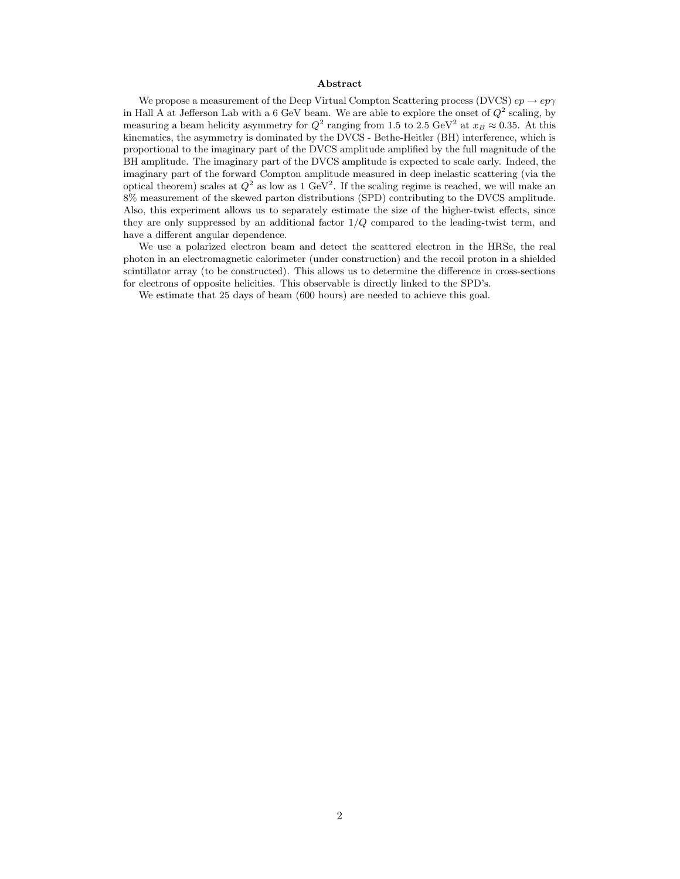#### **Abstract**

We propose a measurement of the Deep Virtual Compton Scattering process (DVCS)  $ep \rightarrow ep \gamma$ in Hall A at Jefferson Lab with a 6 GeV beam. We are able to explore the onset of  $Q^2$  scaling, by measuring a beam helicity asymmetry for  $Q^2$  ranging from 1.5 to 2.5 GeV<sup>2</sup> at  $x_B \approx 0.35$ . At this kinematics, the asymmetry is dominated by the DVCS - Bethe-Heitler (BH) interference, which is proportional to the imaginary part of the DVCS amplitude amplified by the full magnitude of the BH amplitude. The imaginary part of the DVCS amplitude is expected to scale early. Indeed, the imaginary part of the forward Compton amplitude measured in deep inelastic scattering (via the optical theorem) scales at  $Q^2$  as low as 1 GeV<sup>2</sup>. If the scaling regime is reached, we will make an 8% measurement of the skewed parton distributions (SPD) contributing to the DVCS amplitude. Also, this experiment allows us to separately estimate the size of the higher-twist effects, since they are only suppressed by an additional factor  $1/Q$  compared to the leading-twist term, and have a different angular dependence.

We use a polarized electron beam and detect the scattered electron in the HRSe, the real photon in an electromagnetic calorimeter (under construction) and the recoil proton in a shielded scintillator array (to be constructed). This allows us to determine the difference in cross-sections for electrons of opposite helicities. This observable is directly linked to the SPD's.

We estimate that 25 days of beam (600 hours) are needed to achieve this goal.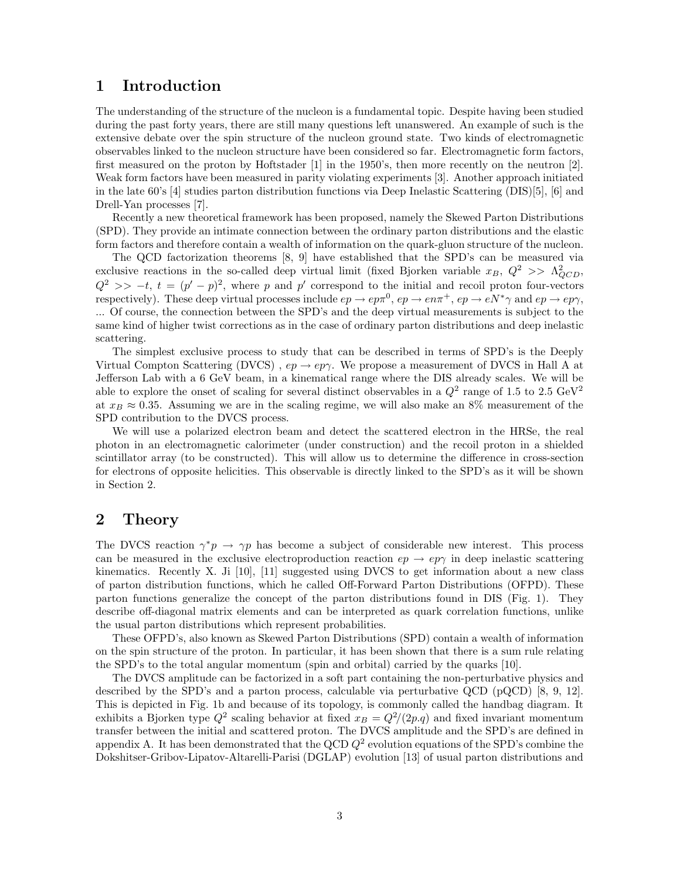# **1 Introduction**

The understanding of the structure of the nucleon is a fundamental topic. Despite having been studied during the past forty years, there are still many questions left unanswered. An example of such is the extensive debate over the spin structure of the nucleon ground state. Two kinds of electromagnetic observables linked to the nucleon structure have been considered so far. Electromagnetic form factors, first measured on the proton by Hoftstader [1] in the 1950's, then more recently on the neutron [2]. Weak form factors have been measured in parity violating experiments [3]. Another approach initiated in the late 60's [4] studies parton distribution functions via Deep Inelastic Scattering (DIS)[5], [6] and Drell-Yan processes [7].

Recently a new theoretical framework has been proposed, namely the Skewed Parton Distributions (SPD). They provide an intimate connection between the ordinary parton distributions and the elastic form factors and therefore contain a wealth of information on the quark-gluon structure of the nucleon.

The QCD factorization theorems [8, 9] have established that the SPD's can be measured via exclusive reactions in the so-called deep virtual limit (fixed Bjorken variable  $x_B$ ,  $Q^2 \gg \Lambda_{QCD}^2$ ,  $Q^2 \gg -t$ ,  $t = (p' - p)^2$ , where p and p' correspond to the initial and recoil proton four-vectors respectively). These deep virtual processes include  $ep \to ep\pi^0$ ,  $ep \to en\pi^+$ ,  $ep \to eN^*\gamma$  and  $ep \to ep\gamma$ , ... Of course, the connection between the SPD's and the deep virtual measurements is subject to the same kind of higher twist corrections as in the case of ordinary parton distributions and deep inelastic scattering.

The simplest exclusive process to study that can be described in terms of SPD's is the Deeply Virtual Compton Scattering (DVCS),  $ep \rightarrow ep\gamma$ . We propose a measurement of DVCS in Hall A at Jefferson Lab with a 6 GeV beam, in a kinematical range where the DIS already scales. We will be able to explore the onset of scaling for several distinct observables in a  $Q^2$  range of 1.5 to 2.5 GeV<sup>2</sup> at  $x_B \approx 0.35$ . Assuming we are in the scaling regime, we will also make an 8% measurement of the SPD contribution to the DVCS process.

We will use a polarized electron beam and detect the scattered electron in the HRSe, the real photon in an electromagnetic calorimeter (under construction) and the recoil proton in a shielded scintillator array (to be constructed). This will allow us to determine the difference in cross-section for electrons of opposite helicities. This observable is directly linked to the SPD's as it will be shown in Section 2.

### 2 Theory

The DVCS reaction  $\gamma^*p \to \gamma p$  has become a subject of considerable new interest. This process can be measured in the exclusive electroproduction reaction  $ep \rightarrow ep\gamma$  in deep inelastic scattering kinematics. Recently X. Ji  $[10]$ ,  $[11]$  suggested using DVCS to get information about a new class of parton distribution functions, which he called Off-Forward Parton Distributions (OFPD). These parton functions generalize the concept of the parton distributions found in DIS(Fig. 1). They describe off-diagonal matrix elements and can be interpreted as quark correlation functions, unlike the usual parton distributions which represent probabilities.

These OFPD's, also known as Skewed Parton Distributions (SPD) contain a wealth of information on the spin structure of the proton. In particular, it has been shown that there is a sum rule relating the SPD's to the total angular momentum (spin and orbital) carried by the quarks [10].

The DVCS amplitude can be factorized in a soft part containing the non-perturbative physics and described by the SPD's and a parton process, calculable via perturbative QCD (pQCD) [8, 9, 12]. This is depicted in Fig. 1b and because of its topology, is commonly called the handbag diagram. It exhibits a Bjorken type  $Q^2$  scaling behavior at fixed  $x_B = Q^2/(2p.q)$  and fixed invariant momentum transfer between the initial and scattered proton. The DVCS amplitude and the SPD's are defined in appendix A. It has been demonstrated that the QCD  $Q^2$  evolution equations of the SPD's combine the Dokshitser-Gribov-Lipatov-Altarelli-Parisi (DGLAP) evolution [13] of usual parton distributions and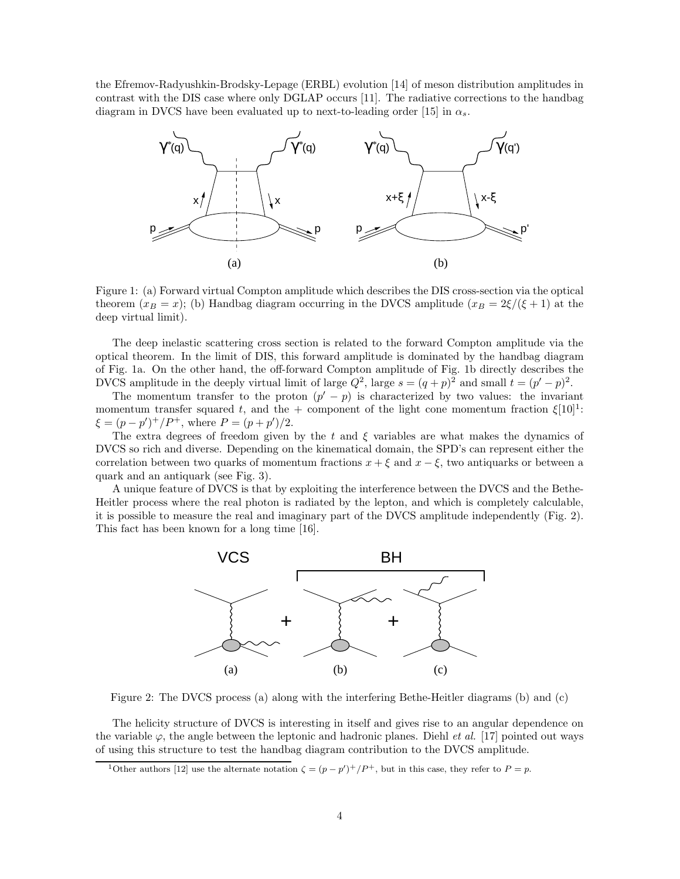the Efremov-Radyushkin-Brodsky-Lepage (ERBL) evolution [14] of meson distribution amplitudes in contrast with the DIS case where only DGLAP occurs [11]. The radiative corrections to the handbag diagram in DVCS have been evaluated up to next-to-leading order [15] in  $\alpha_s$ .



Figure 1: (a) Forward virtual Compton amplitude which describes the DIS cross-section via the optical theorem  $(x_B = x)$ ; (b) Handbag diagram occurring in the DVCS amplitude  $(x_B = 2\xi/(\xi + 1)$  at the deep virtual limit).

The deep inelastic scattering cross section is related to the forward Compton amplitude via the optical theorem. In the limit of DIS, this forward amplitude is dominated by the handbag diagram of Fig. 1a. On the other hand, the off-forward Compton amplitude of Fig. 1b directly describes the DVCS amplitude in the deeply virtual limit of large  $Q^2$ , large  $s = (q+p)^2$  and small  $t = (p'-p)^2$ .

The momentum transfer to the proton  $(p' - p)$  is characterized by two values: the invariant momentum transfer squared t, and the + component of the light cone momentum fraction  $\xi[10]$ <sup>1</sup>:  $\xi = (p - p')^{+}/P^{+}$ , where  $P = (p + p')/2$ .

The extra degrees of freedom given by the t and  $\xi$  variables are what makes the dynamics of DVCS so rich and diverse. Depending on the kinematical domain, the SPD's can represent either the correlation between two quarks of momentum fractions  $x + \xi$  and  $x - \xi$ , two antiquarks or between a quark and an antiquark (see Fig. 3).

A unique feature of DVCS is that by exploiting the interference between the DVCS and the Bethe-Heitler process where the real photon is radiated by the lepton, and which is completely calculable, it is possible to measure the real and imaginary part of the DVCS amplitude independently  $(Fig. 2)$ . This fact has been known for a long time [16].



Figure 2: The DVCS process (a) along with the interfering Bethe-Heitler diagrams (b) and (c)

The helicity structure of DVCS is interesting in itself and gives rise to an angular dependence on the variable  $\varphi$ , the angle between the leptonic and hadronic planes. Diehl *et al.* [17] pointed out ways of using this structure to test the handbag diagram contribution to the DVCS amplitude.

<sup>&</sup>lt;sup>1</sup>Other authors [12] use the alternate notation  $\zeta = (p - p')^+/P^+$ , but in this case, they refer to  $P = p$ .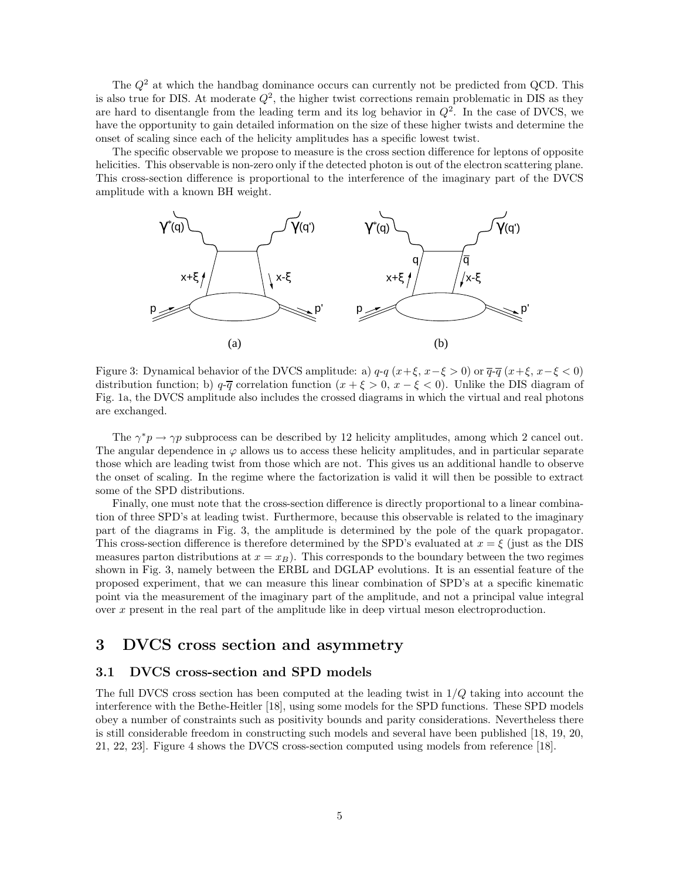The  $Q^2$  at which the handbag dominance occurs can currently not be predicted from QCD. This is also true for DIS. At moderate  $Q^2$ , the higher twist corrections remain problematic in DIS as they are hard to disentangle from the leading term and its log behavior in  $Q^2$ . In the case of DVCS, we have the opportunity to gain detailed information on the size of these higher twists and determine the onset of scaling since each of the helicity amplitudes has a specific lowest twist.

The specific observable we propose to measure is the cross section difference for leptons of opposite helicities. This observable is non-zero only if the detected photon is out of the electron scattering plane. This cross-section difference is proportional to the interference of the imaginary part of the DVCS amplitude with a known BH weight.



Figure 3: Dynamical behavior of the DVCS amplitude: a)  $q-q$   $(x+\xi, x-\xi > 0)$  or  $\overline{q}$ - $\overline{q}$   $(x+\xi, x-\xi < 0)$ distribution function; b)  $q-\overline{q}$  correlation function  $(x + \xi > 0, x - \xi < 0)$ . Unlike the DIS diagram of Fig. 1a, the DVCS amplitude also includes the crossed diagrams in which the virtual and real photons are exchanged.

The  $\gamma^* p \to \gamma p$  subprocess can be described by 12 helicity amplitudes, among which 2 cancel out. The angular dependence in  $\varphi$  allows us to access these helicity amplitudes, and in particular separate those which are leading twist from those which are not. This gives us an additional handle to observe the onset of scaling. In the regime where the factorization is valid it will then be possible to extract some of the SPD distributions.

Finally, one must note that the cross-section difference is directly proportional to a linear combination of three SPD's at leading twist. Furthermore, because this observable is related to the imaginary part of the diagrams in Fig. 3, the amplitude is determined by the pole of the quark propagator. This cross-section difference is therefore determined by the SPD's evaluated at  $x = \xi$  (just as the DIS measures parton distributions at  $x = x_B$ ). This corresponds to the boundary between the two regimes shown in Fig. 3, namely between the ERBL and DGLAP evolutions. It is an essential feature of the proposed experiment, that we can measure this linear combination of SPD's at a specific kinematic point via the measurement of the imaginary part of the amplitude, and not a principal value integral over  $x$  present in the real part of the amplitude like in deep virtual meson electroproduction.

### **3 DVCS cross section and asymmetry**

#### **3.1 DVCS cross-section and SPD models**

The full DVCS cross section has been computed at the leading twist in  $1/Q$  taking into account the interference with the Bethe-Heitler [18], using some models for the SPD functions. These SPD models obey a number of constraints such as positivity bounds and parity considerations. Nevertheless there is still considerable freedom in constructing such models and several have been published [18, 19, 20, 21, 22, 23. Figure 4 shows the DVCS cross-section computed using models from reference [18].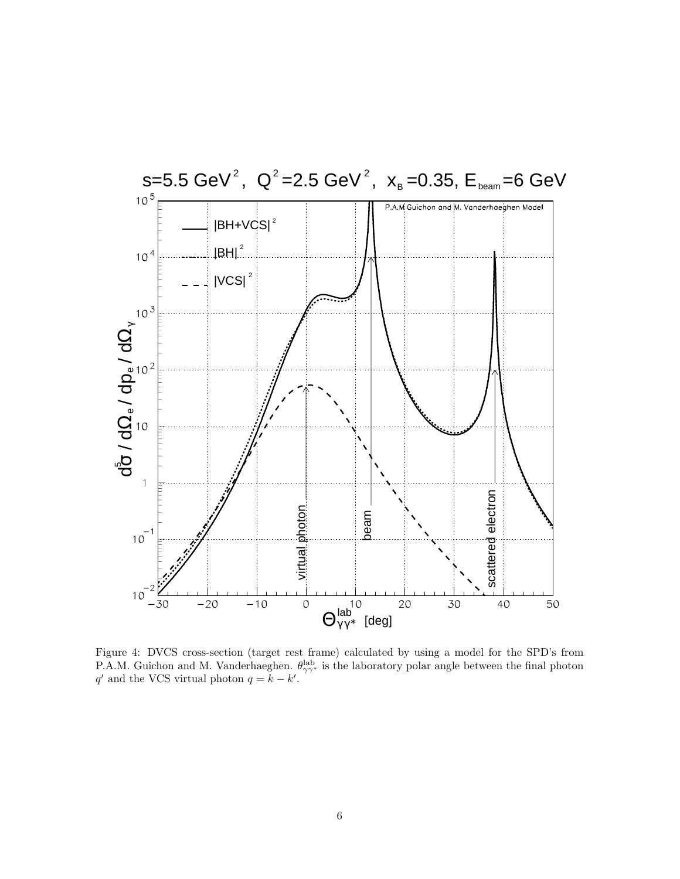

Figure 4: DVCS cross-section (target rest frame) calculated by using a model for the SPD's from P.A.M. Guichon and M. Vanderhaeghen.  $\theta_{\gamma\gamma}^{\text{lab}}$  is the laboratory polar angle between the final photon  $q'$  and the VCS virtual photon  $q = k - k'$ .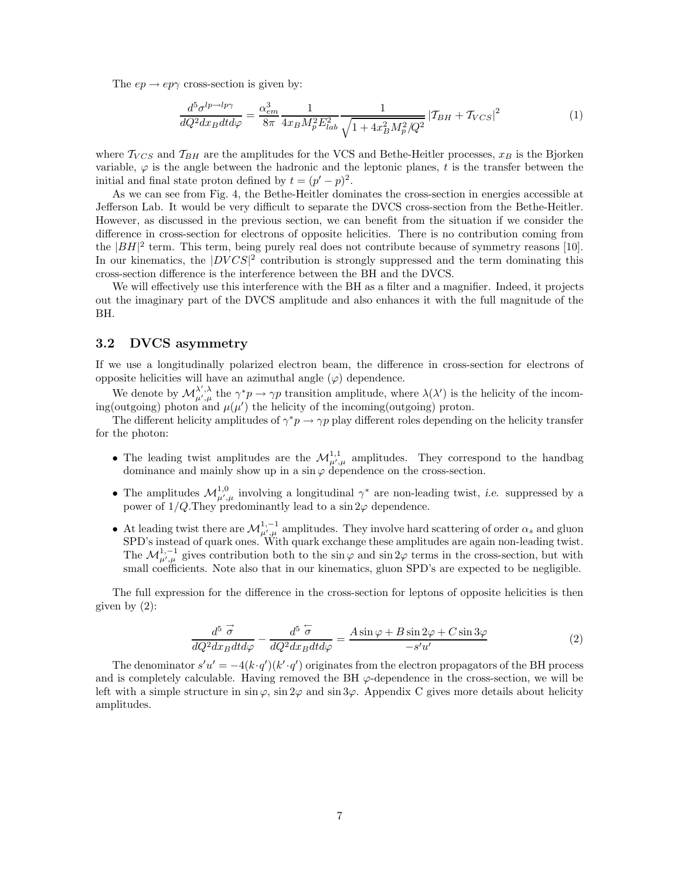The  $ep \rightarrow ep\gamma$  cross-section is given by:

$$
\frac{d^5\sigma^{lp\to l p\gamma}}{dQ^2 dx_B dt d\varphi} = \frac{\alpha_{em}^3}{8\pi} \frac{1}{4x_B M_p^2 E_{lab}^2} \frac{1}{\sqrt{1 + 4x_B^2 M_p^2 / Q^2}} \left| T_{BH} + T_{VCS} \right|^2 \tag{1}
$$

where  $T_{VCS}$  and  $T_{BH}$  are the amplitudes for the VCS and Bethe-Heitler processes,  $x_B$  is the Bjorken variable,  $\varphi$  is the angle between the hadronic and the leptonic planes, t is the transfer between the initial and final state proton defined by  $t = (p' - p)^2$ .

As we can see from Fig. 4, the Bethe-Heitler dominates the cross-section in energies accessible at Jefferson Lab. It would be very difficult to separate the DVCS cross-section from the Bethe-Heitler. However, as discussed in the previous section, we can benefit from the situation if we consider the difference in cross-section for electrons of opposite helicities. There is no contribution coming from the  $|BH|^2$  term. This term, being purely real does not contribute because of symmetry reasons [10]. In our kinematics, the  $|DVCS|^2$  contribution is strongly suppressed and the term dominating this cross-section difference is the interference between the BH and the DVCS.

We will effectively use this interference with the BH as a filter and a magnifier. Indeed, it projects out the imaginary part of the DVCS amplitude and also enhances it with the full magnitude of the BH.

#### **3.2DVCS asymmetry**

If we use a longitudinally polarized electron beam, the difference in cross-section for electrons of opposite helicities will have an azimuthal angle  $(\varphi)$  dependence.

We denote by  $\mathcal{M}_{\mu',\mu}^{\lambda',\lambda}$  the  $\gamma^*p \to \gamma p$  transition amplitude, where  $\lambda(\lambda')$  is the helicity of the incoming(outgoing) photon and  $\mu(\mu')$  the helicity of the incoming(outgoing) proton.

The different helicity amplitudes of  $\gamma^*p \to \gamma p$  play different roles depending on the helicity transfer for the photon:

- The leading twist amplitudes are the  $\mathcal{M}^{1,1}_{\mu',\mu}$  amplitudes. They correspond to the handbag dominance and mainly show up in a sin  $\varphi$  dependence on the cross-section.
- The amplitudes  $\mathcal{M}_{\mu',\mu}^{1,0}$  involving a longitudinal  $\gamma^*$  are non-leading twist, *i.e.* suppressed by a power of  $1/Q$ . They predominantly lead to a sin  $2\varphi$  dependence.
- At leading twist there are  $\mathcal{M}^{1,-1}_{\mu',\mu}$  amplitudes. They involve hard scattering of order  $\alpha_s$  and gluon SPD's instead of quark ones. With quark exchange these amplitudes are again non-leading twist. The  $\mathcal{M}^{1,-1}_{\mu',\mu}$  gives contribution both to the sin $\varphi$  and sin 2 $\varphi$  terms in the cross-section, but with small coefficients. Note also that in our kinematics, gluon SPD's are expected to be negligible.

The full expression for the difference in the cross-section for leptons of opposite helicities is then given by  $(2)$ :

$$
\frac{d^5 \stackrel{\rightarrow}{\sigma}}{dQ^2 dx_B dt d\varphi} - \frac{d^5 \stackrel{\leftarrow}{\sigma}}{dQ^2 dx_B dt d\varphi} = \frac{A \sin \varphi + B \sin 2\varphi + C \sin 3\varphi}{-s'u'} \tag{2}
$$

The denominator  $s'u' = -4(k \cdot q')(k' \cdot q')$  originates from the electron propagators of the BH process and is completely calculable. Having removed the BH  $\varphi$ -dependence in the cross-section, we will be left with a simple structure in  $\sin \varphi$ ,  $\sin 2\varphi$  and  $\sin 3\varphi$ . Appendix C gives more details about helicity amplitudes.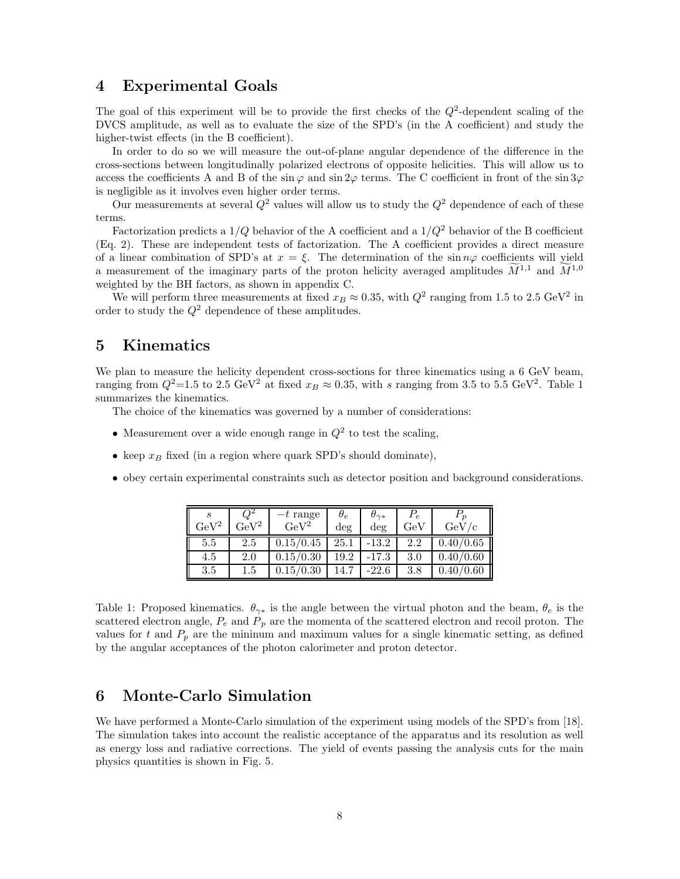### **4 Experimental Goals**

The goal of this experiment will be to provide the first checks of the  $Q^2$ -dependent scaling of the DVCS amplitude, as well as to evaluate the size of the SPD's (in the A coefficient) and study the higher-twist effects (in the B coefficient).

In order to do so we will measure the out-of-plane angular dependence of the difference in the cross-sections between longitudinally polarized electrons of opposite helicities. This will allow us to access the coefficients A and B of the sin  $\varphi$  and sin  $2\varphi$  terms. The C coefficient in front of the sin  $3\varphi$ is negligible as it involves even higher order terms.

Our measurements at several  $Q^2$  values will allow us to study the  $Q^2$  dependence of each of these terms.

Factorization predicts a  $1/Q$  behavior of the A coefficient and a  $1/Q^2$  behavior of the B coefficient (Eq. 2). These are independent tests of factorization. The A coefficient provides a direct measure of a linear combination of SPD's at  $x = \xi$ . The determination of the sin  $n\varphi$  coefficients will yield a measurement of the imaginary parts of the proton helicity averaged amplitudes  $\tilde{M}^{1,1}$  and  $\tilde{M}^{1,0}$ weighted by the BH factors, as shown in appendix C.

We will perform three measurements at fixed  $x_B \approx 0.35$ , with  $Q^2$  ranging from 1.5 to 2.5 GeV<sup>2</sup> in order to study the  $Q^2$  dependence of these amplitudes.

# **5 Kinematics**

We plan to measure the helicity dependent cross-sections for three kinematics using a 6 GeV beam, ranging from  $Q^2$ =1.5 to 2.5 GeV<sup>2</sup> at fixed  $x_B \approx 0.35$ , with s ranging from 3.5 to 5.5 GeV<sup>2</sup>. Table 1 summarizes the kinematics.

The choice of the kinematics was governed by a number of considerations:

- Measurement over a wide enough range in  $Q^2$  to test the scaling,
- keep  $x_B$  fixed (in a region where quark SPD's should dominate),
- obey certain experimental constraints such as detector position and background considerations.

| S<br>${\rm GeV^2}$ | $\rm{GeV}^2$ | $-t$ range<br>$\rm GeV^2$ | $\theta_e$<br>deg | $\theta_{\gamma *}$<br>deg | $\epsilon$<br>${\rm GeV}$ | GeV       |
|--------------------|--------------|---------------------------|-------------------|----------------------------|---------------------------|-----------|
| 5.5                | 2.5          | 0.15/0.45                 | 25.1              | $-13.2$                    | 2.2                       | 0.40/0.65 |
| 4.5                | 2.0          | 0.15/0.30                 | 19.2              | -17.3                      | 3.0                       | 0.40/0.60 |
| $3.5\,$            | $1.5\,$      | $^{\prime}0.30$           |                   | $-22.6$                    | 3.8                       |           |

Table 1: Proposed kinematics.  $\theta_{\gamma*}$  is the angle between the virtual photon and the beam,  $\theta_e$  is the scattered electron angle,  $P_e$  and  $P_p$  are the momenta of the scattered electron and recoil proton. The values for t and  $P_p$  are the mininum and maximum values for a single kinematic setting, as defined by the angular acceptances of the photon calorimeter and proton detector.

# **6 Monte-Carlo Simulation**

We have performed a Monte-Carlo simulation of the experiment using models of the SPD's from [18]. The simulation takes into account the realistic acceptance of the apparatus and its resolution as well as energy loss and radiative corrections. The yield of events passing the analysis cuts for the main physics quantities is shown in Fig. 5.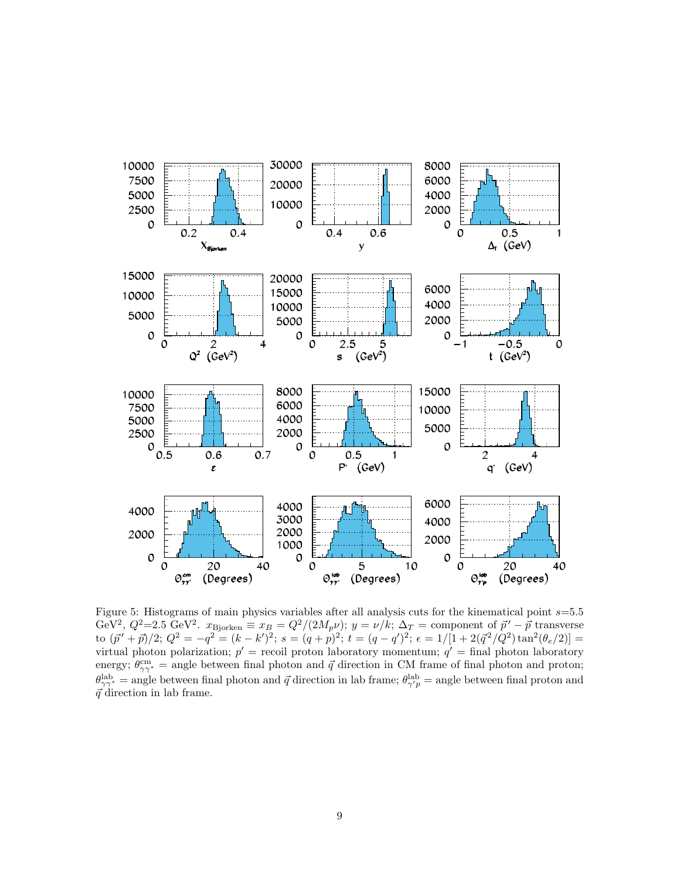

Figure 5: Histograms of main physics variables after all analysis cuts for the kinematical point s=5.5 GeV<sup>2</sup>,  $Q^2=2.5$  GeV<sup>2</sup>.  $x_{\text{Bjorken}} \equiv x_B = Q^2/(2M_p\nu); y = \nu/k; \Delta_T =$  component of  $\vec{p}' - \vec{p}$  transverse to  $(\vec{p}' + \vec{p})/2$ ;  $Q^2 = -q^2 = (k - k')^2$ ;  $s = (q + p)^2$ ;  $t = (q - q')^2$ ;  $\epsilon = 1/[1 + 2(\vec{q}^2/Q^2) \tan^2(\theta_e/2)] =$ virtual photon polarization;  $p'$  = recoil proton laboratory momentum;  $q'$  = final photon laboratory energy;  $\theta_{\gamma\gamma^*}^{\rm cm}$  = angle between final photon and  $\vec{q}$  direction in CM frame of final photon and proton;  $\theta_{\gamma\gamma^*}^{\text{lab}} = \text{angle between final photon and }\vec{q}$  direction in lab frame;  $\theta_{\gamma'\gamma}^{\text{lab}} = \text{angle between final proton and}$  $\vec{q}$  direction in lab frame.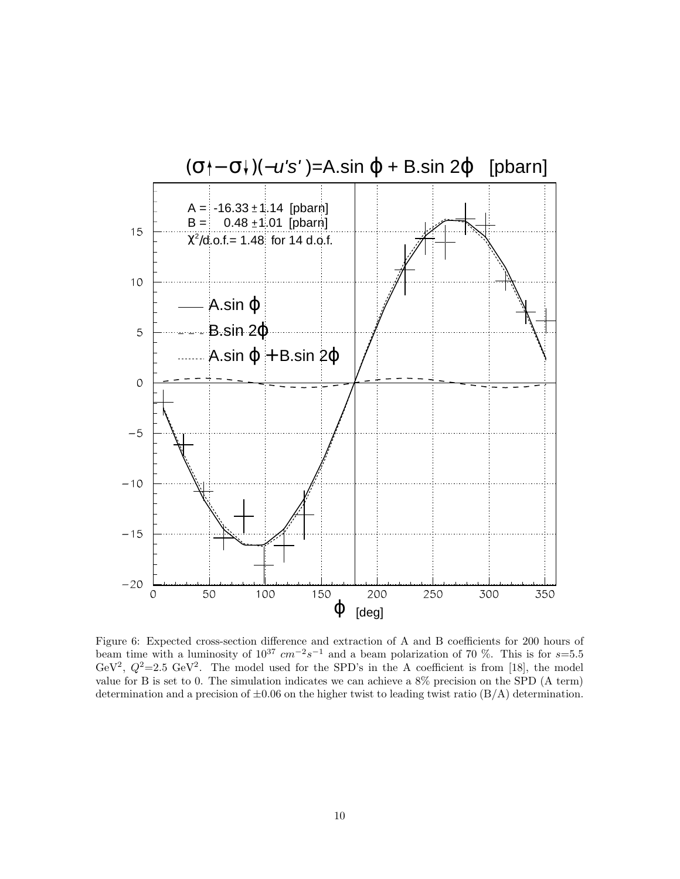

Figure 6: Expected cross-section difference and extraction of A and B coefficients for 200 hours of beam time with a luminosity of  $10^{37}$  cm<sup>-2</sup>s<sup>-1</sup> and a beam polarization of 70 %. This is for s=5.5 GeV<sup>2</sup>,  $Q^2=2.5$  GeV<sup>2</sup>. The model used for the SPD's in the A coefficient is from [18], the model value for B is set to 0. The simulation indicates we can achieve a 8% precision on the SPD (A term) determination and a precision of  $\pm 0.06$  on the higher twist to leading twist ratio ( $B/A$ ) determination.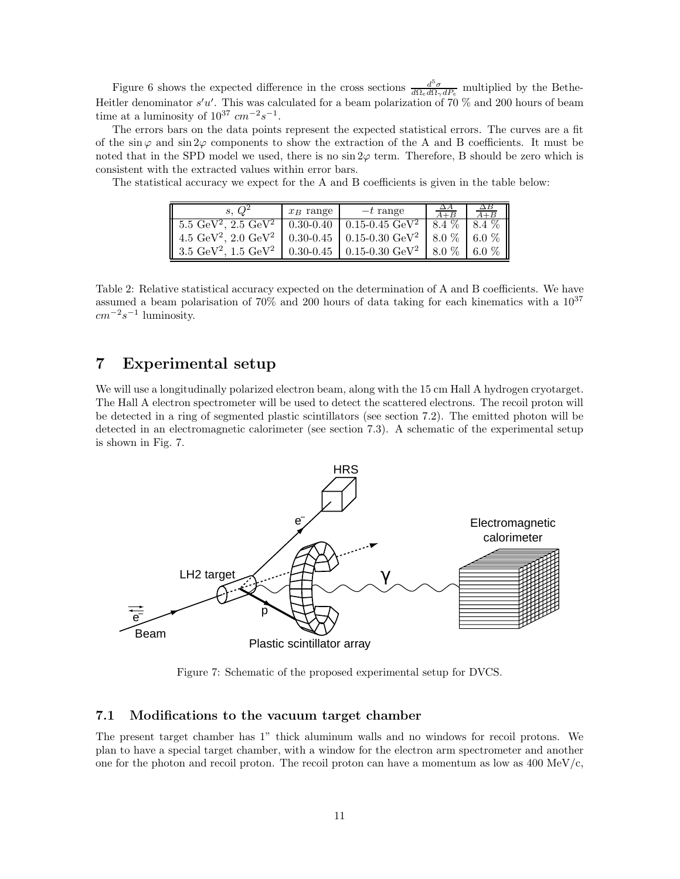Figure 6 shows the expected difference in the cross sections  $\frac{d^5\sigma}{d\Omega_e d\Omega_\gamma dP_e}$  multiplied by the Bethe-Heitler denominator  $s'u'$ . This was calculated for a beam polarization of 70 % and 200 hours of beam time at a luminosity of  $10^{37}$  cm<sup>-2</sup>s<sup>-1</sup>.

The errors bars on the data points represent the expected statistical errors. The curves are a fit of the sin  $\varphi$  and sin  $2\varphi$  components to show the extraction of the A and B coefficients. It must be noted that in the SPD model we used, there is no  $\sin 2\varphi$  term. Therefore, B should be zero which is consistent with the extracted values within error bars.

The statistical accuracy we expect for the A and B coefficients is given in the table below:

| s. $Q^2$                                                                                                                                       | $x_B$ range | $-t$ range                                                   |  |
|------------------------------------------------------------------------------------------------------------------------------------------------|-------------|--------------------------------------------------------------|--|
| $\vert 5.5 \text{ GeV}^2, 2.5 \text{ GeV}^2 \vert 0.30 \text{-} 0.40 \vert 0.15 \text{-} 0.45 \text{ GeV}^2 \vert 8.4 \text{ %} 8.4 \text{ %}$ |             |                                                              |  |
| 4.5 GeV <sup>2</sup> , 2.0 GeV <sup>2</sup>   0.30-0.45   0.15-0.30 GeV <sup>2</sup>   8.0 %   6.0 %                                           |             |                                                              |  |
| $\parallel$ 3.5 GeV <sup>2</sup> , 1.5 GeV <sup>2</sup>                                                                                        |             | 0.30-0.45   0.15-0.30 GeV <sup>2</sup>   8.0 $\%$   6.0 $\%$ |  |

Table 2: Relative statistical accuracy expected on the determination of A and B coefficients. We have assumed a beam polarisation of 70% and 200 hours of data taking for each kinematics with a  $10^{37}$  $cm^{-2}s^{-1}$  luminosity.

# **7 Experimental setup**

We will use a longitudinally polarized electron beam, along with the 15 cm Hall A hydrogen cryotarget. The Hall A electron spectrometer will be used to detect the scattered electrons. The recoil proton will be detected in a ring of segmented plastic scintillators (see section 7.2). The emitted photon will be detected in an electromagnetic calorimeter (see section 7.3). A schematic of the experimental setup is shown in Fig. 7.



Figure 7: Schematic of the proposed experimental setup for DVCS.

#### **7.1 Modifications to the vacuum target chamber**

The present target chamber has 1" thick aluminum walls and no windows for recoil protons. We plan to have a special target chamber, with a window for the electron arm spectrometer and another one for the photon and recoil proton. The recoil proton can have a momentum as low as  $400 \text{ MeV}/c$ ,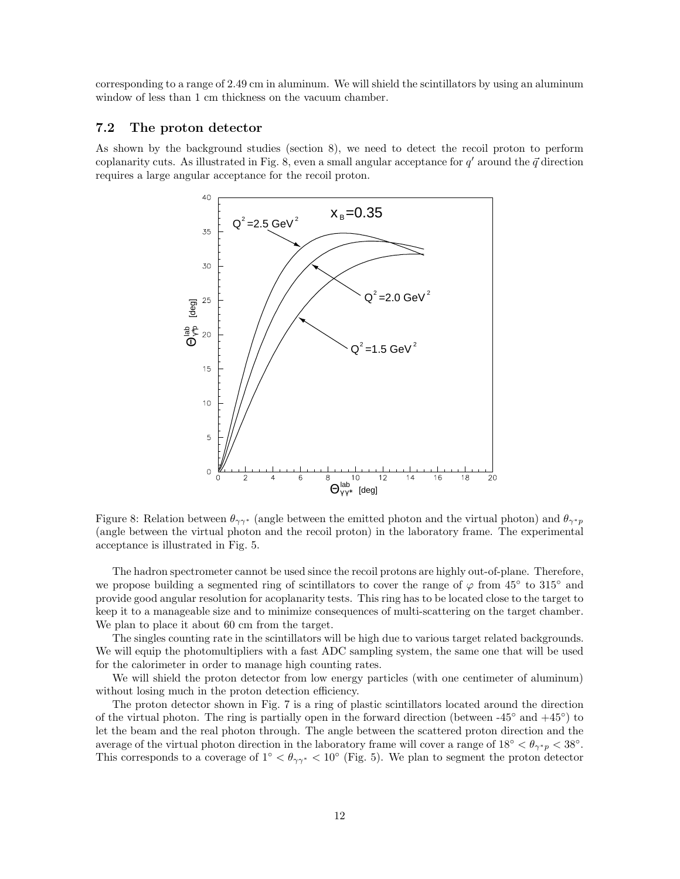corresponding to a range of 2.49 cm in aluminum. We will shield the scintillators by using an aluminum window of less than 1 cm thickness on the vacuum chamber.

#### **7.2The proton detector**

As shown by the background studies (section 8), we need to detect the recoil proton to perform coplanarity cuts. As illustrated in Fig. 8, even a small angular acceptance for  $q'$  around the  $\vec{q}$  direction requires a large angular acceptance for the recoil proton.



Figure 8: Relation between  $\theta_{\gamma\gamma^*}$  (angle between the emitted photon and the virtual photon) and  $\theta_{\gamma^*p}$ (angle between the virtual photon and the recoil proton) in the laboratory frame. The experimental acceptance is illustrated in Fig. 5.

The hadron spectrometer cannot be used since the recoil protons are highly out-of-plane. Therefore, we propose building a segmented ring of scintillators to cover the range of  $\varphi$  from 45° to 315° and provide good angular resolution for acoplanarity tests. This ring has to be located close to the target to keep it to a manageable size and to minimize consequences of multi-scattering on the target chamber. We plan to place it about 60 cm from the target.

The singles counting rate in the scintillators will be high due to various target related backgrounds. We will equip the photomultipliers with a fast ADC sampling system, the same one that will be used for the calorimeter in order to manage high counting rates.

We will shield the proton detector from low energy particles (with one centimeter of aluminum) without losing much in the proton detection efficiency.

The proton detector shown in Fig. 7 is a ring of plastic scintillators located around the direction of the virtual photon. The ring is partially open in the forward direction (between  $-45°$  and  $+45°$ ) to let the beam and the real photon through. The angle between the scattered proton direction and the average of the virtual photon direction in the laboratory frame will cover a range of  $18° < \theta_{\gamma^*p} < 38°$ . This corresponds to a coverage of  $1° < \theta_{\gamma\gamma^*} < 10°$  (Fig. 5). We plan to segment the proton detector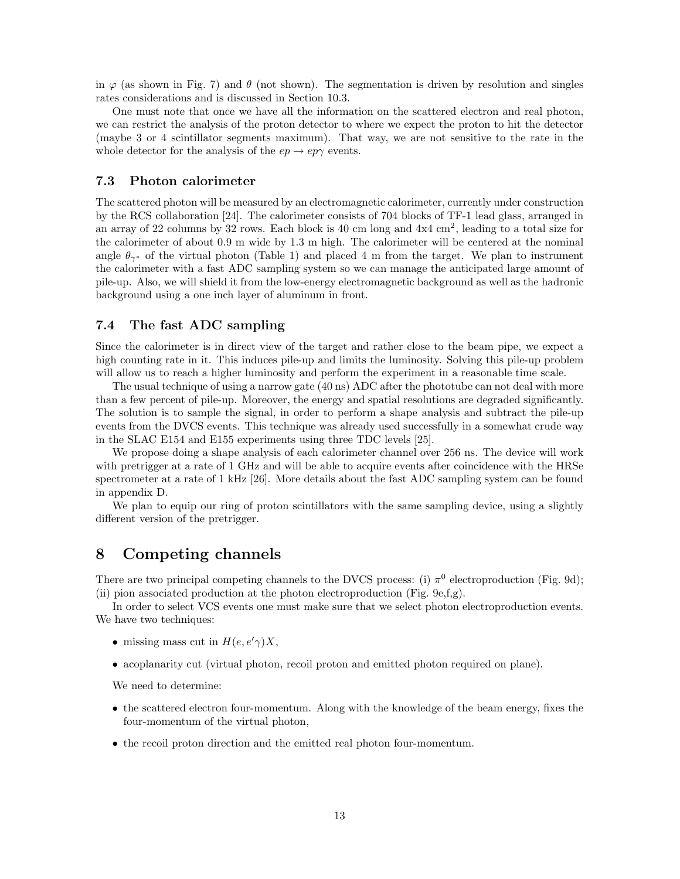in  $\varphi$  (as shown in Fig. 7) and  $\theta$  (not shown). The segmentation is driven by resolution and singles rates considerations and is discussed in Section 10.3.

One must note that once we have all the information on the scattered electron and real photon, we can restrict the analysis of the proton detector to where we expect the proton to hit the detector (maybe 3 or 4 scintillator segments maximum). That way, we are not sensitive to the rate in the whole detector for the analysis of the  $ep \rightarrow ep\gamma$  events.

#### **7.3 Photon calorimeter**

The scattered photon will be measured by an electromagnetic calorimeter, currently under construction by the RCS collaboration [24]. The calorimeter consists of 704 blocks of TF-1 lead glass, arranged in an array of 22 columns by 32 rows. Each block is 40 cm long and  $4x4 \text{ cm}^2$ , leading to a total size for the calorimeter of about 0.9 m wide by 1.3 m high. The calorimeter will be centered at the nominal angle  $\theta_{\gamma^*}$  of the virtual photon (Table 1) and placed 4 m from the target. We plan to instrument the calorimeter with a fast ADC sampling system so we can manage the anticipated large amount of pile-up. Also, we will shield it from the low-energy electromagnetic background as well as the hadronic background using a one inch layer of aluminum in front.

#### **7.4 The fast ADC sampling**

Since the calorimeter is in direct view of the target and rather close to the beam pipe, we expect a high counting rate in it. This induces pile-up and limits the luminosity. Solving this pile-up problem will allow us to reach a higher luminosity and perform the experiment in a reasonable time scale.

The usual technique of using a narrow gate (40 ns) ADC after the phototube can not deal with more than a few percent of pile-up. Moreover, the energy and spatial resolutions are degraded significantly. The solution is to sample the signal, in order to perform a shape analysis and subtract the pile-up events from the DVCS events. This technique was already used successfully in a somewhat crude way in the SLAC E154 and E155 experiments using three TDC levels [25].

We propose doing a shape analysis of each calorimeter channel over 256 ns. The device will work with pretrigger at a rate of 1 GHz and will be able to acquire events after coincidence with the HRSe spectrometer at a rate of 1 kHz [26]. More details about the fast ADC sampling system can be found in appendix D.

We plan to equip our ring of proton scintillators with the same sampling device, using a slightly different version of the pretrigger.

# **8 Competing channels**

There are two principal competing channels to the DVCS process: (i)  $\pi^0$  electroproduction (Fig. 9d); (ii) pion associated production at the photon electroproduction (Fig. 9e,f,g).

In order to select VCS events one must make sure that we select photon electroproduction events. We have two techniques:

- missing mass cut in  $H(e, e'\gamma)X$ ,
- acoplanarity cut (virtual photon, recoil proton and emitted photon required on plane).

We need to determine:

- the scattered electron four-momentum. Along with the knowledge of the beam energy, fixes the four-momentum of the virtual photon,
- the recoil proton direction and the emitted real photon four-momentum.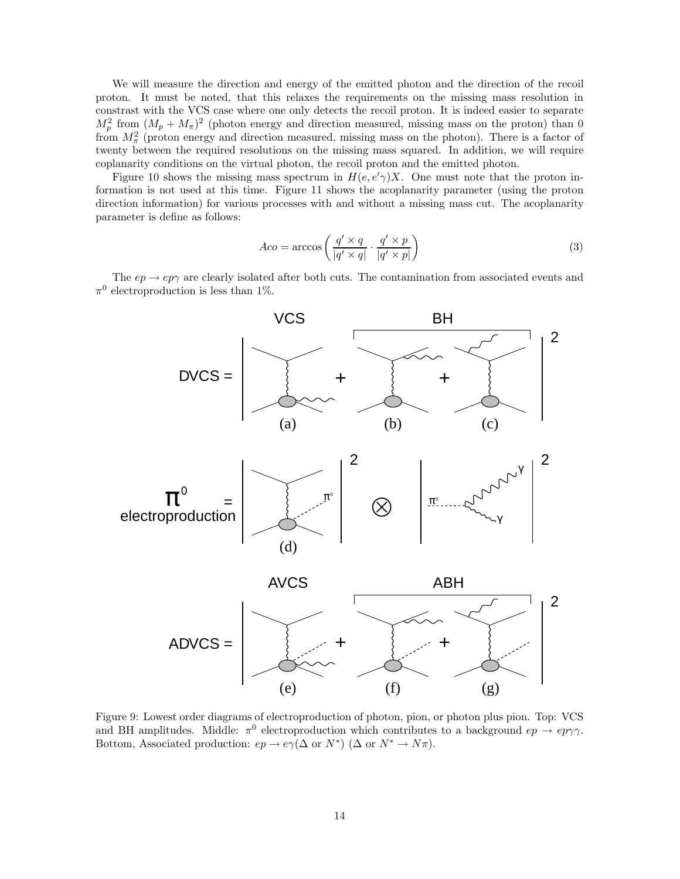We will measure the direction and energy of the emitted photon and the direction of the recoil proton. It must be noted, that this relaxes the requirements on the missing mass resolution in constrast with the VCS case where one only detects the recoil proton. It is indeed easier to separate  $M_p^2$  from  $(M_p + M_\pi)^2$  (photon energy and direction measured, missing mass on the proton) than 0 from  $M_{\pi}^2$  (proton energy and direction measured, missing mass on the photon). There is a factor of twenty between the required resolutions on the missing mass squared. In addition, we will require coplanarity conditions on the virtual photon, the recoil proton and the emitted photon.

Figure 10 shows the missing mass spectrum in  $H(e, e'\gamma)X$ . One must note that the proton information is not used at this time. Figure 11 shows the acoplanarity parameter (using the proton direction information) for various processes with and without a missing mass cut. The acoplanarity parameter is define as follows:

$$
Aco = \arccos\left(\frac{q' \times q}{|q' \times q|} \cdot \frac{q' \times p}{|q' \times p|}\right) \tag{3}
$$

The  $ep \rightarrow ep\gamma$  are clearly isolated after both cuts. The contamination from associated events and  $\pi^0$  electroproduction is less than 1%.



Figure 9: Lowest order diagrams of electroproduction of photon, pion, or photon plus pion. Top: VCS and BH amplitudes. Middle:  $\pi^0$  electroproduction which contributes to a background  $ep \rightarrow ep\gamma\gamma$ . Bottom, Associated production:  $ep \to e\gamma(\Delta \text{ or } N^*)$  ( $\Delta \text{ or } N^* \to N\pi$ ).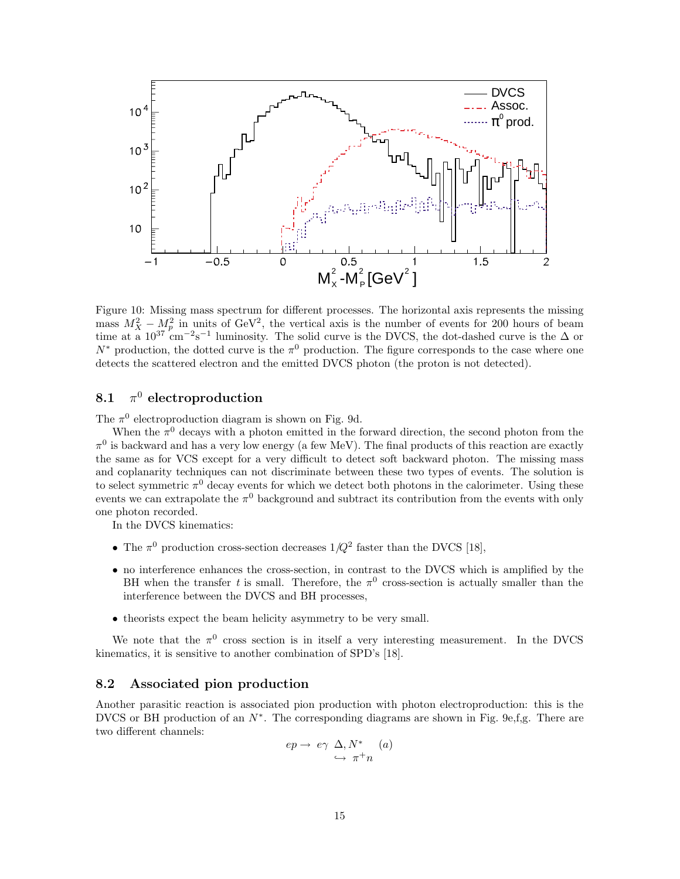

Figure 10: Missing mass spectrum for different processes. The horizontal axis represents the missing mass  $M_X^2 - M_p^2$  in units of GeV<sup>2</sup>, the vertical axis is the number of events for 200 hours of beam time at a  $10^{37}$  cm<sup>-2</sup>s<sup>-1</sup> luminosity. The solid curve is the DVCS, the dot-dashed curve is the  $\Delta$  or  $N^*$  production, the dotted curve is the  $\pi^0$  production. The figure corresponds to the case where one detects the scattered electron and the emitted DVCS photon (the proton is not detected).

### **8.1**  $\pi^0$  **electroproduction**

The  $\pi^0$  electroproduction diagram is shown on Fig. 9d.

When the  $\pi^0$  decays with a photon emitted in the forward direction, the second photon from the  $\pi^0$  is backward and has a very low energy (a few MeV). The final products of this reaction are exactly the same as for VCS except for a very difficult to detect soft backward photon. The missing mass and coplanarity techniques can not discriminate between these two types of events. The solution is to select symmetric  $\pi^0$  decay events for which we detect both photons in the calorimeter. Using these events we can extrapolate the  $\pi^0$  background and subtract its contribution from the events with only one photon recorded.

In the DVCS kinematics:

- The  $\pi^0$  production cross-section decreases  $1/Q^2$  faster than the DVCS [18],
- no interference enhances the cross-section, in contrast to the DVCS which is amplified by the BH when the transfer t is small. Therefore, the  $\pi^0$  cross-section is actually smaller than the interference between the DVCS and BH processes,
- theorists expect the beam helicity asymmetry to be very small.

We note that the  $\pi^0$  cross section is in itself a very interesting measurement. In the DVCS kinematics, it is sensitive to another combination of SPD's [18].

#### **8.2** Associated pion production

Another parasitic reaction is associated pion production with photon electroproduction: this is the DVCS or BH production of an  $N^*$ . The corresponding diagrams are shown in Fig. 9e,f,g. There are two different channels:

$$
ep \to e\gamma \Delta, N^* \qquad (a)
$$
  

$$
\hookrightarrow \pi^+ n
$$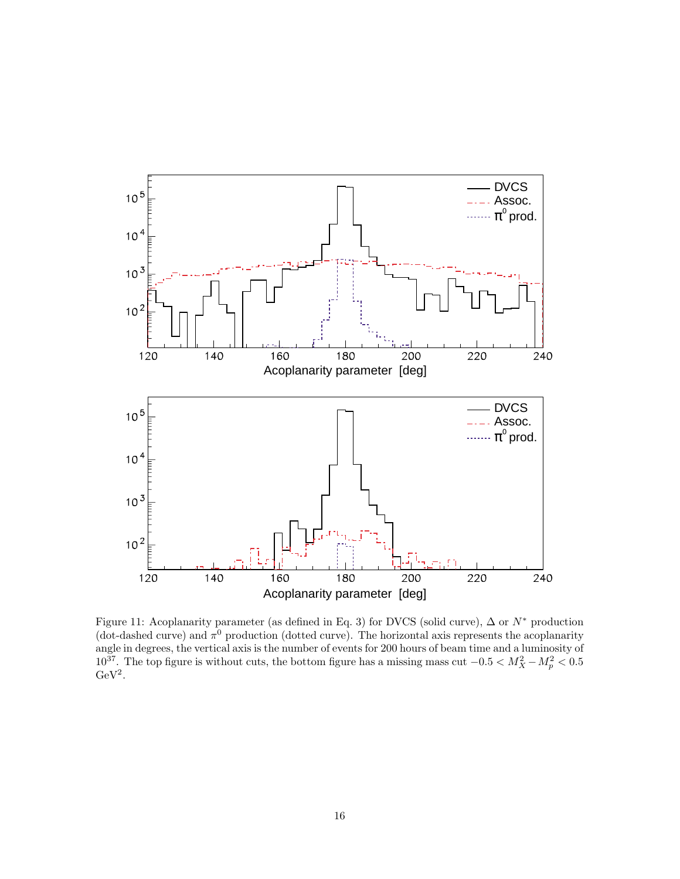

Figure 11: Acoplanarity parameter (as defined in Eq. 3) for DVCS (solid curve),  $\Delta$  or  $N^*$  production (dot-dashed curve) and  $\pi^0$  production (dotted curve). The horizontal axis represents the acoplanarity angle in degrees, the vertical axis is the number of events for 200 hours of beam time and a luminosity of  $10^{37}$ . The top figure is without cuts, the bottom figure has a missing mass cut  $-0.5 < M_X^2 - M_p^2 < 0.5$  $GeV<sup>2</sup>$ .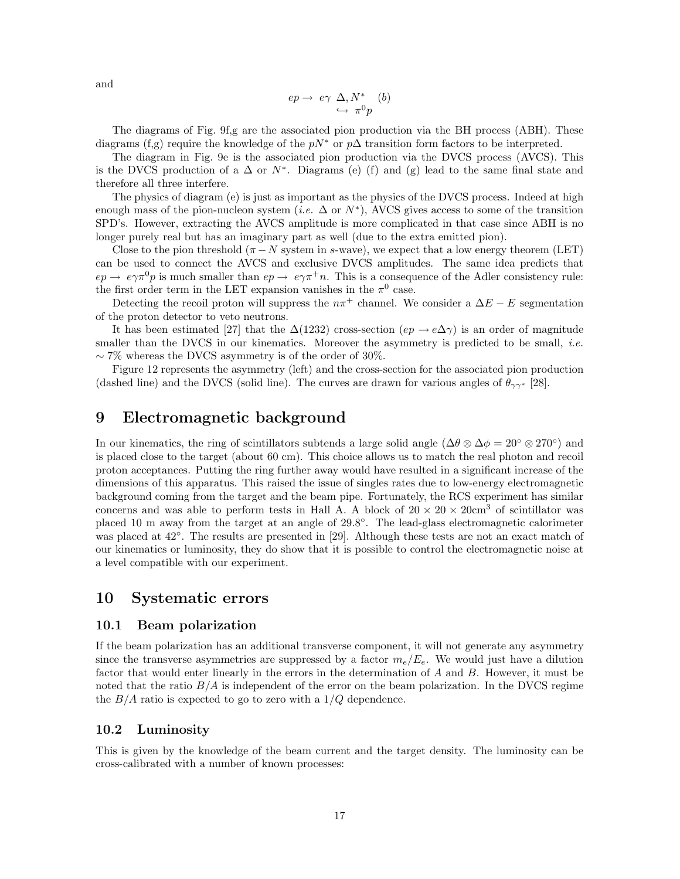and

$$
ep \rightarrow e\gamma \Delta, N^* \quad (b)
$$
  

$$
\hookrightarrow \pi^0 p
$$

The diagrams of Fig. 9f,g are the associated pion production via the BH process (ABH). These diagrams (f,g) require the knowledge of the  $pN^*$  or  $p\Delta$  transition form factors to be interpreted.

The diagram in Fig. 9e is the associated pion production via the DVCS process (AVCS). This is the DVCS production of a  $\Delta$  or  $N^*$ . Diagrams (e) (f) and (g) lead to the same final state and therefore all three interfere.

The physics of diagram (e) is just as important as the physics of the DVCS process. Indeed at high enough mass of the pion-nucleon system (*i.e.*  $\Delta$  or  $N^*$ ), AVCS gives access to some of the transition SPD's. However, extracting the AVCS amplitude is more complicated in that case since ABH is no longer purely real but has an imaginary part as well (due to the extra emitted pion).

Close to the pion threshold ( $\pi - N$  system in s-wave), we expect that a low energy theorem (LET) can be used to connect the AVCS and exclusive DVCS amplitudes. The same idea predicts that  $ep \rightarrow e\gamma \pi^0 p$  is much smaller than  $ep \rightarrow e\gamma \pi^+ n$ . This is a consequence of the Adler consistency rule: the first order term in the LET expansion vanishes in the  $\pi^0$  case.

Detecting the recoil proton will suppress the  $n\pi$ <sup>+</sup> channel. We consider a  $\Delta E - E$  segmentation of the proton detector to veto neutrons.

It has been estimated [27] that the  $\Delta(1232)$  cross-section  $(ep \rightarrow e\Delta\gamma)$  is an order of magnitude smaller than the DVCS in our kinematics. Moreover the asymmetry is predicted to be small, *i.e.*  $\sim$  7% whereas the DVCS asymmetry is of the order of 30%.

Figure 12 represents the asymmetry (left) and the cross-section for the associated pion production (dashed line) and the DVCS (solid line). The curves are drawn for various angles of  $\theta_{\gamma\gamma^*}$  [28].

### **9 Electromagnetic background**

In our kinematics, the ring of scintillators subtends a large solid angle  $(\Delta\theta \otimes \Delta\phi = 20° \otimes 270°)$  and is placed close to the target (about 60 cm). This choice allows us to match the real photon and recoil proton acceptances. Putting the ring further away would have resulted in a significant increase of the dimensions of this apparatus. This raised the issue of singles rates due to low-energy electromagnetic background coming from the target and the beam pipe. Fortunately, the RCS experiment has similar concerns and was able to perform tests in Hall A. A block of  $20 \times 20 \times 20$  cm<sup>3</sup> of scintillator was placed 10 m away from the target at an angle of 29.8◦. The lead-glass electromagnetic calorimeter was placed at 42◦. The results are presented in [29]. Although these tests are not an exact match of our kinematics or luminosity, they do show that it is possible to control the electromagnetic noise at a level compatible with our experiment.

## **10 Systematic errors**

#### **10.1 Beam polarization**

If the beam polarization has an additional transverse component, it will not generate any asymmetry since the transverse asymmetries are suppressed by a factor  $m_e/E_e$ . We would just have a dilution factor that would enter linearly in the errors in the determination of A and B. However, it must be noted that the ratio  $B/A$  is independent of the error on the beam polarization. In the DVCS regime the  $B/A$  ratio is expected to go to zero with a  $1/Q$  dependence.

#### 10.2 Luminosity

This is given by the knowledge of the beam current and the target density. The luminosity can be cross-calibrated with a number of known processes: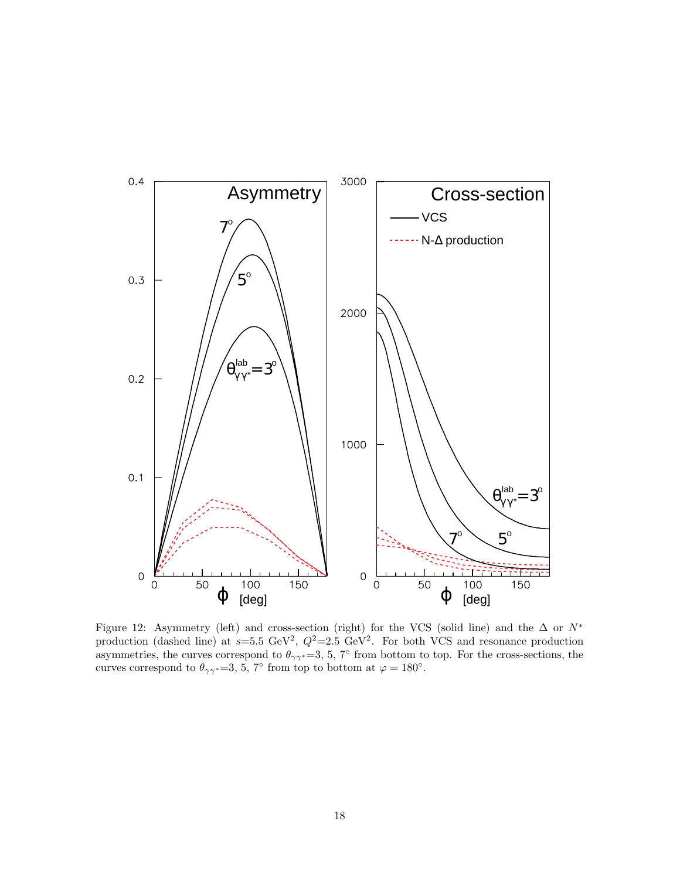

Figure 12: Asymmetry (left) and cross-section (right) for the VCS (solid line) and the  $\Delta$  or  $N^*$ production (dashed line) at  $s=5.5 \text{ GeV}^2$ ,  $Q^2=2.5 \text{ GeV}^2$ . For both VCS and resonance production asymmetries, the curves correspond to  $\theta_{\gamma\gamma^*}=3, 5, 7^{\circ}$  from bottom to top. For the cross-sections, the curves correspond to  $\theta_{\gamma\gamma^*}=3, 5, 7^{\circ}$  from top to bottom at  $\varphi = 180^{\circ}$ .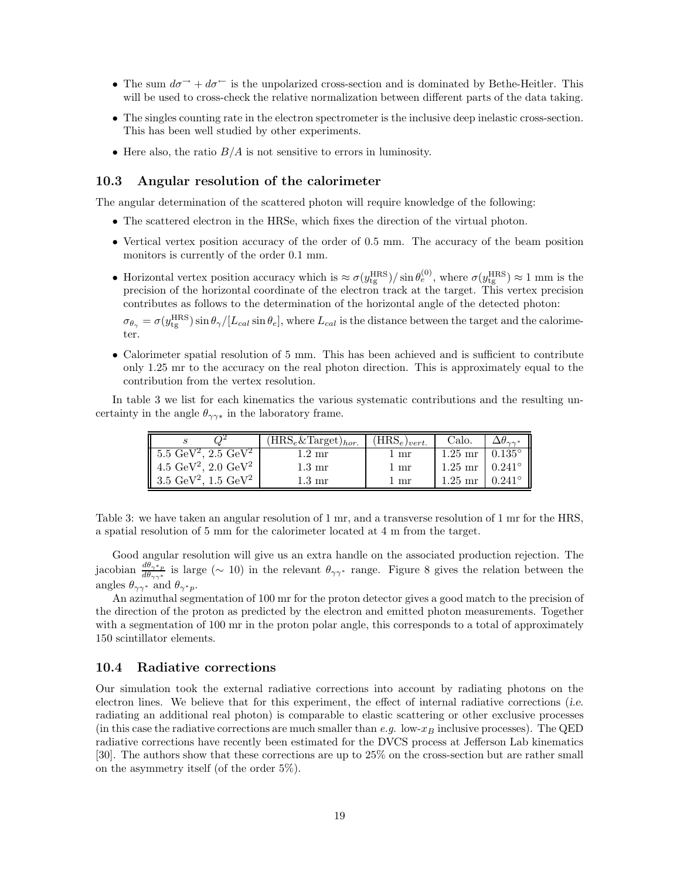- The sum  $d\sigma^{\rightarrow} + d\sigma^{\leftarrow}$  is the unpolarized cross-section and is dominated by Bethe-Heitler. This will be used to cross-check the relative normalization between different parts of the data taking.
- The singles counting rate in the electron spectrometer is the inclusive deep inelastic cross-section. This has been well studied by other experiments.
- Here also, the ratio  $B/A$  is not sensitive to errors in luminosity.

#### **10.3 Angular resolution of the calorimeter**

The angular determination of the scattered photon will require knowledge of the following:

- The scattered electron in the HRSe, which fixes the direction of the virtual photon.
- Vertical vertex position accuracy of the order of 0.5 mm. The accuracy of the beam position monitors is currently of the order 0.1 mm.
- Horizontal vertex position accuracy which is  $\approx \sigma(y_{\text{tg}}^{\text{HRS}})/\sin \theta_e^{(0)}$ , where  $\sigma(y_{\text{tg}}^{\text{HRS}}) \approx 1 \text{ mm}$  is the precision of the horizontal coordinate of the electron track at the target. This vertex precision contributes as follows to the determination of the horizontal angle of the detected photon:

 $\sigma_{\theta_{\gamma}} = \sigma(y_{\text{tg}}^{\text{HRS}}) \sin \theta_{\gamma}/[L_{cal} \sin \theta_e]$ , where  $L_{cal}$  is the distance between the target and the calorimeter.

• Calorimeter spatial resolution of 5 mm. This has been achieved and is sufficient to contribute only 1.25 mr to the accuracy on the real photon direction. This is approximately equal to the contribution from the vertex resolution.

In table 3 we list for each kinematics the various systematic contributions and the resulting uncertainty in the angle  $\theta_{\gamma\gamma*}$  in the laboratory frame.

|                                             | $(\overline{\text{HRS}}_e \& \text{Target})_{hor.}$ | $(\text{HRS}_e)_{vert.}$ | Calo.                            |                 |
|---------------------------------------------|-----------------------------------------------------|--------------------------|----------------------------------|-----------------|
| $5.5 \text{ GeV}^2$ , $2.5 \text{ GeV}^2$   | $1.2 \text{ mr}$                                    | 1 mr                     | $1.25 \text{ mr } 0.135^{\circ}$ |                 |
| 4.5 GeV <sup>2</sup> , 2.0 GeV <sup>2</sup> | $1.3 \text{ mr}$                                    | 1 mr                     | $1.25 \text{ mr } 0.241^{\circ}$ |                 |
| 3.5 $\text{GeV}^2$ , 1.5 $\text{GeV}^2$     | $1.3 \text{ mr}$                                    | 1 mr                     | $1.25$ mr                        | $0.241^{\circ}$ |

Table 3: we have taken an angular resolution of 1 mr, and a transverse resolution of 1 mr for the HRS, a spatial resolution of 5 mm for the calorimeter located at 4 m from the target.

Good angular resolution will give us an extra handle on the associated production rejection. The jacobian  $\frac{d\theta_{\gamma^*p}}{d\theta_{\gamma\gamma^*}}$  is large ( $\sim 10$ ) in the relevant  $\theta_{\gamma\gamma^*}$  range. Figure 8 gives the relation between the angles  $\theta_{\gamma\gamma^*}$  and  $\theta_{\gamma^*p}$ .

An azimuthal segmentation of 100 mr for the proton detector gives a good match to the precision of the direction of the proton as predicted by the electron and emitted photon measurements. Together with a segmentation of 100 mr in the proton polar angle, this corresponds to a total of approximately 150 scintillator elements.

#### **10.4 Radiative corrections**

Our simulation took the external radiative corrections into account by radiating photons on the electron lines. We believe that for this experiment, the effect of internal radiative corrections (*i.e.* radiating an additional real photon) is comparable to elastic scattering or other exclusive processes (in this case the radiative corrections are much smaller than  $e.g.$  low- $x_B$  inclusive processes). The QED radiative corrections have recently been estimated for the DVCS process at Jefferson Lab kinematics [30]. The authors show that these corrections are up to 25% on the cross-section but are rather small on the asymmetry itself (of the order 5%).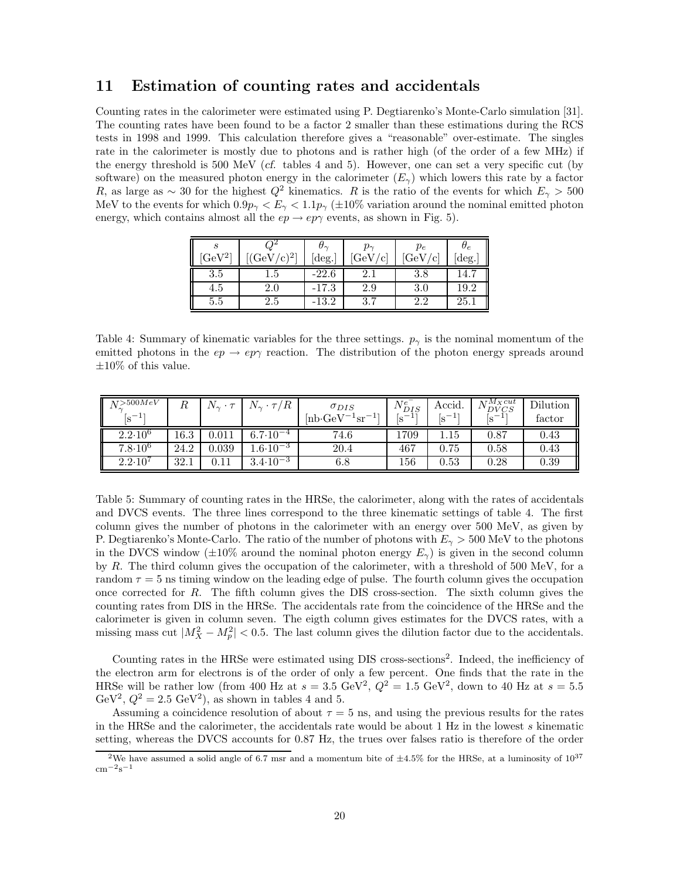### **11 Estimation of counting rates and accidentals**

Counting rates in the calorimeter were estimated using P. Degtiarenko's Monte-Carlo simulation [31]. The counting rates have been found to be a factor 2 smaller than these estimations during the RCS tests in 1998 and 1999. This calculation therefore gives a "reasonable" over-estimate. The singles rate in the calorimeter is mostly due to photons and is rather high (of the order of a few MHz) if the energy threshold is 500 MeV (*cf.* tables 4 and 5). However, one can set a very specific cut (by software) on the measured photon energy in the calorimeter  $(E_{\gamma})$  which lowers this rate by a factor R, as large as  $\sim 30$  for the highest  $Q^2$  kinematics. R is the ratio of the events for which  $E_{\gamma} > 500$ MeV to the events for which  $0.9p_{\gamma} < E_{\gamma} < 1.1p_{\gamma} (\pm 10\%$  variation around the nominal emitted photon energy, which contains almost all the  $ep \rightarrow ep\gamma$  events, as shown in Fig. 5).

| $GeV^2$ | 21 \<br>c. | $\sigma_{\sim}$<br>$[\deg.]$ | $p_{\sim}$<br>$_{i}GeV$<br>$^{\prime}$ c | $p_e$<br>GeV/6 | $\sigma_e$<br>deg. |
|---------|------------|------------------------------|------------------------------------------|----------------|--------------------|
| 3.5     | 6.1        | $-22.6$                      | 2.1                                      | 3.8            | 14.                |
| 4.5     | $2.0\,$    | $-17.3$                      | 2.9                                      | 3.0            | $^{19.2}$          |
| 5.5     | $2.5\,$    | $-13.2$                      | 3.1                                      | 2.2            | 25.1               |

Table 4: Summary of kinematic variables for the three settings.  $p_{\gamma}$  is the nominal momentum of the emitted photons in the  $ep \rightarrow ep\gamma$  reaction. The distribution of the photon energy spreads around  $\pm 10\%$  of this value.

| $N_\gamma^{>500MeV}$ |      | $\mathbf{v}_1 \cdot \mathbf{v}_2$ | $N_{\gamma} \cdot \tau/R$ | $\sigma_{DIS}$                                     | $N_{DIS}^e$ | Accid.    | $\sqrt{t}M_Xcut$<br>$N_{DVCS}$ | Dilution |
|----------------------|------|-----------------------------------|---------------------------|----------------------------------------------------|-------------|-----------|--------------------------------|----------|
| $ S^{-1}$            |      |                                   |                           | $[\text{nb}\text{-}\text{GeV}^{-1}\text{sr}^{-1}]$ | $ S^{-1}$   | $ S^{-1}$ | $ S^{-1}$                      | tactor   |
| $2.2 \cdot 10^6$     | 16.3 | $\rm 0.011$                       | $6.7 \!\cdot\! 10^{-4}$   | 74.6                                               | 1709        | $1.15\,$  | 0.87                           | 0.43     |
| $7.8 \cdot 10^6$     | 24.2 | 0.039                             | $.6 \cdot 10^{-3}$        | 20.4                                               | 467         | 0.75      | 0.58                           | 0.43     |
| $2.2 \cdot 10^7$     | 32.1 |                                   | $3.4 \cdot 10^{-3}$       | $_{6.8}$                                           | 156         | 0.53      | $0.28\,$                       | 0.39     |

Table 5: Summary of counting rates in the HRSe, the calorimeter, along with the rates of accidentals and DVCS events. The three lines correspond to the three kinematic settings of table 4. The first column gives the number of photons in the calorimeter with an energy over 500 MeV, as given by P. Degtiarenko's Monte-Carlo. The ratio of the number of photons with  $E_{\gamma} > 500$  MeV to the photons in the DVCS window ( $\pm 10\%$  around the nominal photon energy  $E_{\gamma}$ ) is given in the second column by R. The third column gives the occupation of the calorimeter, with a threshold of 500 MeV, for a random  $\tau = 5$  ns timing window on the leading edge of pulse. The fourth column gives the occupation once corrected for  $R$ . The fifth column gives the DIS cross-section. The sixth column gives the counting rates from DIS in the HRSe. The accidentals rate from the coincidence of the HRSe and the calorimeter is given in column seven. The eigth column gives estimates for the DVCS rates, with a missing mass cut  $|M_X^2 - M_p^2| < 0.5$ . The last column gives the dilution factor due to the accidentals.

Counting rates in the HRSe were estimated using DIS cross-sections<sup>2</sup>. Indeed, the inefficiency of the electron arm for electrons is of the order of only a few percent. One finds that the rate in the HRSe will be rather low (from 400 Hz at  $s = 3.5$  GeV<sup>2</sup>,  $Q^2 = 1.5$  GeV<sup>2</sup>, down to 40 Hz at  $s = 5.5$ GeV<sup>2</sup>,  $Q^2 = 2.5$  GeV<sup>2</sup>), as shown in tables 4 and 5.

Assuming a coincidence resolution of about  $\tau = 5$  ns, and using the previous results for the rates in the HRSe and the calorimeter, the accidentals rate would be about 1 Hz in the lowest s kinematic setting, whereas the DVCS accounts for  $0.87$  Hz, the trues over falses ratio is therefore of the order

<sup>&</sup>lt;sup>2</sup>We have assumed a solid angle of 6.7 msr and a momentum bite of  $\pm 4.5\%$  for the HRSe, at a luminosity of  $10^{37}$  $\rm cm^{-2}s^{-1}$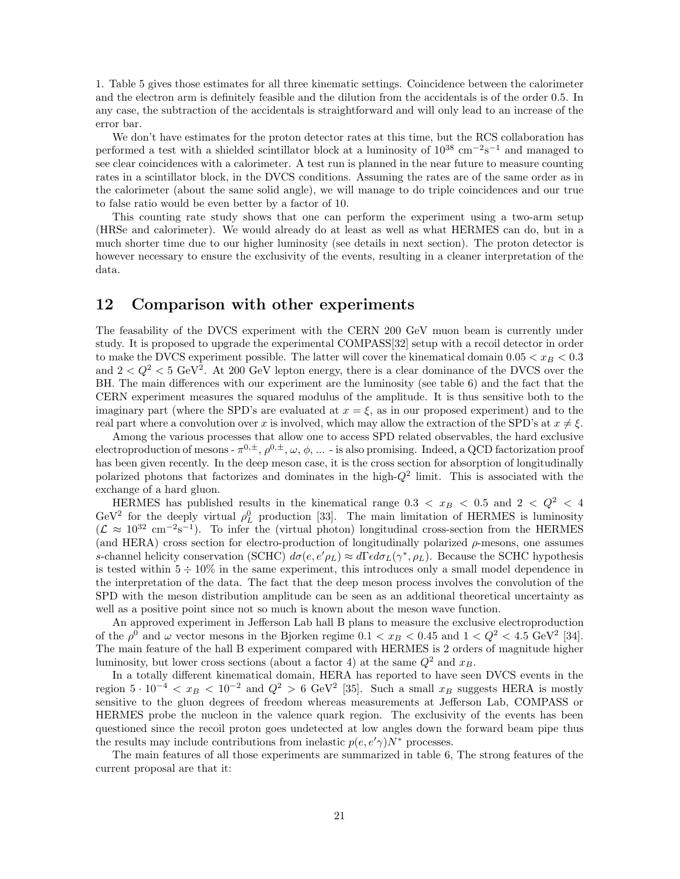1. Table 5 gives those estimates for all three kinematic settings. Coincidence between the calorimeter and the electron arm is definitely feasible and the dilution from the accidentals is of the order 0.5. In any case, the subtraction of the accidentals is straightforward and will only lead to an increase of the error bar.

We don't have estimates for the proton detector rates at this time, but the RCS collaboration has performed a test with a shielded scintillator block at a luminosity of  $10^{38}$  cm<sup>-2</sup>s<sup>-1</sup> and managed to see clear coincidences with a calorimeter. A test run is planned in the near future to measure counting rates in a scintillator block, in the DVCS conditions. Assuming the rates are of the same order as in the calorimeter (about the same solid angle), we will manage to do triple coincidences and our true to false ratio would be even better by a factor of 10.

This counting rate study shows that one can perform the experiment using a two-arm setup (HRSe and calorimeter). We would already do at least as well as what HERMES can do, but in a much shorter time due to our higher luminosity (see details in next section). The proton detector is however necessary to ensure the exclusivity of the events, resulting in a cleaner interpretation of the data.

# **12** Comparison with other experiments

The feasability of the DVCS experiment with the CERN 200 GeV muon beam is currently under study. It is proposed to upgrade the experimental COMPASS[32] setup with a recoil detector in order to make the DVCS experiment possible. The latter will cover the kinematical domain  $0.05 < x_B < 0.3$ and  $2 < Q^2 < 5$  GeV<sup>2</sup>. At 200 GeV lepton energy, there is a clear dominance of the DVCS over the BH. The main differences with our experiment are the luminosity (see table 6) and the fact that the CERN experiment measures the squared modulus of the amplitude. It is thus sensitive both to the imaginary part (where the SPD's are evaluated at  $x = \xi$ , as in our proposed experiment) and to the real part where a convolution over x is involved, which may allow the extraction of the SPD's at  $x \neq \xi$ .

Among the various processes that allow one to access SPD related observables, the hard exclusive electroproduction of mesons -  $\pi^{0,\pm}$ ,  $\rho^{0,\pm}$ ,  $\omega$ ,  $\phi$ , ... - is also promising. Indeed, a QCD factorization proof has been given recently. In the deep meson case, it is the cross section for absorption of longitudinally polarized photons that factorizes and dominates in the high- $Q<sup>2</sup>$  limit. This is associated with the exchange of a hard gluon.

HERMES has published results in the kinematical range  $0.3 < x_B < 0.5$  and  $2 < Q^2 < 4$ GeV<sup>2</sup> for the deeply virtual  $\rho_L^0$  production [33]. The main limitation of HERMES is luminosity  $(\mathcal{L} \approx 10^{32} \text{ cm}^{-2} \text{s}^{-1})$ . To infer the (virtual photon) longitudinal cross-section from the HERMES (and HERA) cross section for electro-production of longitudinally polarized  $\rho$ -mesons, one assumes s-channel helicity conservation (SCHC)  $d\sigma(e, e' \rho_L) \approx d\Gamma \epsilon d\sigma_L(\gamma^*, \rho_L)$ . Because the SCHC hypothesis is tested within  $5 \div 10\%$  in the same experiment, this introduces only a small model dependence in the interpretation of the data. The fact that the deep meson process involves the convolution of the SPD with the meson distribution amplitude can be seen as an additional theoretical uncertainty as well as a positive point since not so much is known about the meson wave function.

An approved experiment in Jefferson Lab hall B plans to measure the exclusive electroproduction of the  $\rho^0$  and  $\omega$  vector mesons in the Bjorken regime  $0.1 < x_B < 0.45$  and  $1 < Q^2 < 4.5$  GeV<sup>2</sup> [34]. The main feature of the hall B experiment compared with HERMES is 2 orders of magnitude higher luminosity, but lower cross sections (about a factor 4) at the same  $Q^2$  and  $x_B$ .

In a totally different kinematical domain, HERA has reported to have seen DVCS events in the region  $5 \cdot 10^{-4} < x_B < 10^{-2}$  and  $Q^2 > 6$  GeV<sup>2</sup> [35]. Such a small  $x_B$  suggests HERA is mostly sensitive to the gluon degrees of freedom whereas measurements at Jefferson Lab, COMPASS or HERMES probe the nucleon in the valence quark region. The exclusivity of the events has been questioned since the recoil proton goes undetected at low angles down the forward beam pipe thus the results may include contributions from inelastic  $p(e, e'\gamma)N^*$  processes.

The main features of all those experiments are summarized in table 6, The strong features of the current proposal are that it: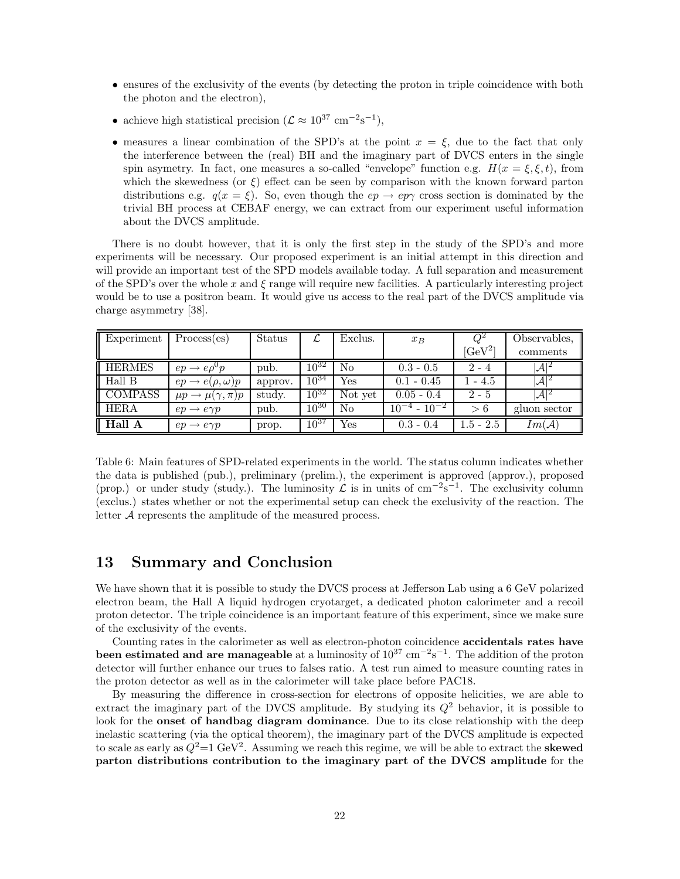- ensures of the exclusivity of the events (by detecting the proton in triple coincidence with both the photon and the electron),
- achieve high statistical precision ( $\mathcal{L} \approx 10^{37} \text{ cm}^{-2} \text{s}^{-1}$ ),
- measures a linear combination of the SPD's at the point  $x = \xi$ , due to the fact that only the interference between the (real) BH and the imaginary part of DVCS enters in the single spin asymetry. In fact, one measures a so-called "envelope" function e.g.  $H(x = \xi, \xi, t)$ , from which the skewedness (or  $\xi$ ) effect can be seen by comparison with the known forward parton distributions e.g.  $q(x = \xi)$ . So, even though the  $ep \rightarrow ep \gamma$  cross section is dominated by the trivial BH process at CEBAF energy, we can extract from our experiment useful information about the DVCS amplitude.

There is no doubt however, that it is only the first step in the study of the SPD's and more experiments will be necessary. Our proposed experiment is an initial attempt in this direction and will provide an important test of the SPD models available today. A full separation and measurement of the SPD's over the whole x and  $\xi$  range will require new facilities. A particularly interesting project would be to use a positron beam. It would give us access to the real part of the DVCS amplitude via charge asymmetry [38].

| Experiment     | Process(es)                       | Status  | $\mathcal{L}$ | Exclus. | $x_B$                 |             | Observables,      |
|----------------|-----------------------------------|---------|---------------|---------|-----------------------|-------------|-------------------|
|                |                                   |         |               |         |                       | $[GeV^2]$   | comments          |
| <b>HERMES</b>  | $ep \rightarrow e \rho^0 p$       | pub.    | $10^{32}$     | No      | $0.3 - 0.5$           | $2 - 4$     | $ A ^2$           |
| Hall B         | $ep \rightarrow e(\rho, \omega)p$ | approv. | $10^{34}$     | Yes     | $0.1 - 0.45$          | $1 - 4.5$   | $ \mathcal{A} ^2$ |
| <b>COMPASS</b> | $\mu p \to \mu(\gamma, \pi) p$    | study.  | $10^{32}$     | Not yet | $0.05 - 0.4$          | $2 - 5$     | $ A ^2$           |
| HERA           | $ep \rightarrow e \gamma p$       | pub.    | $10^{30}$     | No      | $10^{-4}$ - $10^{-2}$ | > 6         | gluon sector      |
| Hall A         | $ep \rightarrow e \gamma p$       | prop.   | $10^{37}$     | Yes     | $0.3 - 0.4$           | $1.5 - 2.5$ | Im(A)             |

Table 6: Main features of SPD-related experiments in the world. The status column indicates whether the data is published (pub.), preliminary (prelim.), the experiment is approved (approv.), proposed (prop.) or under study (study.). The luminosity  $\mathcal L$  is in units of cm<sup>-2</sup>s<sup>-1</sup>. The exclusivity column (exclus.) states whether or not the experimental setup can check the exclusivity of the reaction. The letter A represents the amplitude of the measured process.

# **13 Summary and Conclusion**

We have shown that it is possible to study the DVCS process at Jefferson Lab using a 6 GeV polarized electron beam, the Hall A liquid hydrogen cryotarget, a dedicated photon calorimeter and a recoil proton detector. The triple coincidence is an important feature of this experiment, since we make sure of the exclusivity of the events.

Counting rates in the calorimeter as well as electron-photon coincidence **accidentals rates have been estimated and are manageable** at a luminosity of  $10^{37}$  cm<sup>-2</sup>s<sup>-1</sup>. The addition of the proton detector will further enhance our trues to falses ratio. A test run aimed to measure counting rates in the proton detector as well as in the calorimeter will take place before PAC18.

By measuring the difference in cross-section for electrons of opposite helicities, we are able to extract the imaginary part of the DVCS amplitude. By studying its  $Q^2$  behavior, it is possible to look for the **onset of handbag diagram dominance**. Due to its close relationship with the deep inelastic scattering (via the optical theorem), the imaginary part of the DVCS amplitude is expected to scale as early as  $Q^2=1 \text{ GeV}^2$ . Assuming we reach this regime, we will be able to extract the **skewed parton distributions contribution to the imaginary part of the DVCS amplitude** for the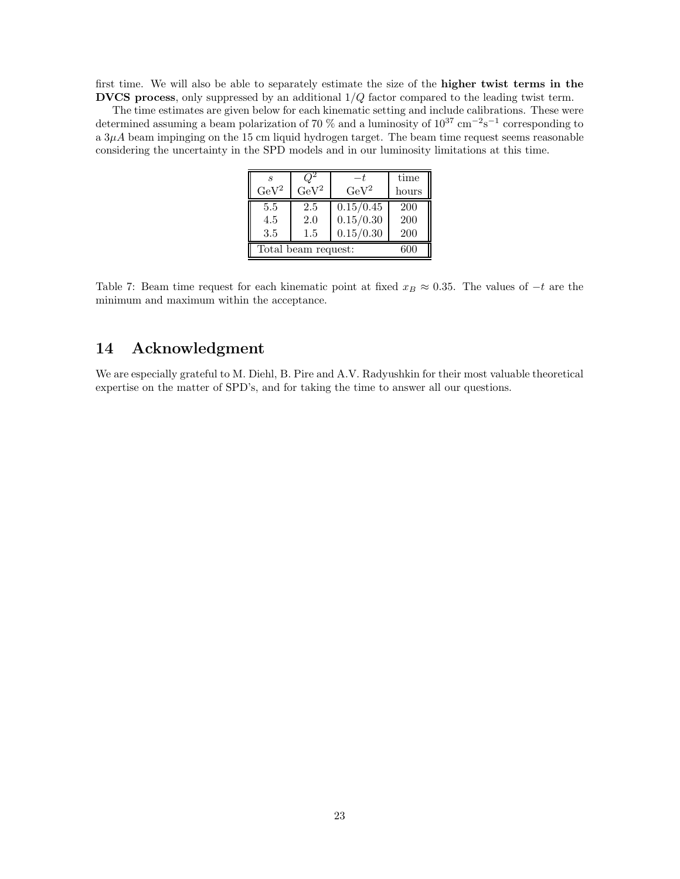first time. We will also be able to separately estimate the size of the **higher twist terms in the DVCS process**, only suppressed by an additional 1/Q factor compared to the leading twist term.

The time estimates are given below for each kinematic setting and include calibrations. These were determined assuming a beam polarization of 70 % and a luminosity of  $10^{37}$  cm<sup>-2</sup>s<sup>-1</sup> corresponding to a  $3\mu A$  beam impinging on the 15 cm liquid hydrogen target. The beam time request seems reasonable considering the uncertainty in the SPD models and in our luminosity limitations at this time.

| я<br>$\rm GeV^2$  | $\rm GeV^2$                | $\rm GeV^2$                         | time<br>hours            |  |  |  |  |
|-------------------|----------------------------|-------------------------------------|--------------------------|--|--|--|--|
| 5.5<br>4.5<br>3.5 | 2.5<br>2.0<br>1.5          | 0.15/0.45<br>0.15/0.30<br>0.15/0.30 | <b>200</b><br>200<br>200 |  |  |  |  |
|                   | Total beam request:<br>600 |                                     |                          |  |  |  |  |

Table 7: Beam time request for each kinematic point at fixed  $x_B \approx 0.35$ . The values of  $-t$  are the minimum and maximum within the acceptance.

# **14 Acknowledgment**

We are especially grateful to M. Diehl, B. Pire and A.V. Radyushkin for their most valuable theoretical expertise on the matter of SPD's, and for taking the time to answer all our questions.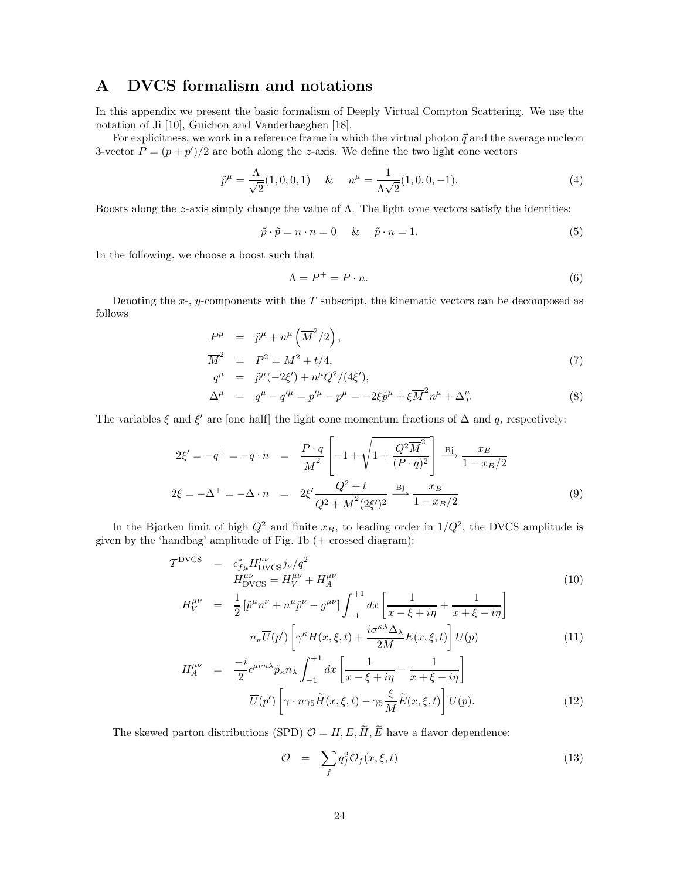# **A DVCS formalism and notations**

In this appendix we present the basic formalism of Deeply Virtual Compton Scattering. We use the notation of Ji [10], Guichon and Vanderhaeghen [18].

For explicitness, we work in a reference frame in which the virtual photon  $\vec{q}$  and the average nucleon 3-vector  $P = (p + p')/2$  are both along the z-axis. We define the two light cone vectors

$$
\tilde{p}^{\mu} = \frac{\Lambda}{\sqrt{2}}(1,0,0,1) \quad \& \quad n^{\mu} = \frac{1}{\Lambda\sqrt{2}}(1,0,0,-1). \tag{4}
$$

Boosts along the *z*-axis simply change the value of  $\Lambda$ . The light cone vectors satisfy the identities:

$$
\tilde{p} \cdot \tilde{p} = n \cdot n = 0 \quad \& \quad \tilde{p} \cdot n = 1. \tag{5}
$$

In the following, we choose a boost such that

$$
\Lambda = P^+ = P \cdot n. \tag{6}
$$

Denoting the  $x$ -,  $y$ -components with the  $T$  subscript, the kinematic vectors can be decomposed as follows

$$
P^{\mu} = \tilde{p}^{\mu} + n^{\mu} \left( \overline{M}^{2} / 2 \right),
$$
  
\n
$$
\overline{M}^{2} = P^{2} = M^{2} + t/4,
$$
  
\n
$$
q^{\mu} = \tilde{p}^{\mu} (-2\xi') + n^{\mu} Q^{2} / (4\xi'),
$$
\n
$$
W = \tilde{M}^{2} + \tilde{M}^{2} + \tilde{M}^{2} + \tilde{M}^{2} + \tilde{M}^{2} + \tilde{M}^{2} + \tilde{M}^{2} + \tilde{M}^{2} + \tilde{M}^{2} + \tilde{M}^{2} + \tilde{M}^{2} + \tilde{M}^{2} + \tilde{M}^{2} + \tilde{M}^{2} + \tilde{M}^{2} + \tilde{M}^{2} + \tilde{M}^{2} + \tilde{M}^{2} + \tilde{M}^{2} + \tilde{M}^{2} + \tilde{M}^{2} + \tilde{M}^{2} + \tilde{M}^{2} + \tilde{M}^{2} + \tilde{M}^{2} + \tilde{M}^{2} + \tilde{M}^{2} + \tilde{M}^{2} + \tilde{M}^{2} + \tilde{M}^{2} + \tilde{M}^{2} + \tilde{M}^{2} + \tilde{M}^{2} + \tilde{M}^{2} + \tilde{M}^{2} + \tilde{M}^{2} + \tilde{M}^{2} + \tilde{M}^{2} + \tilde{M}^{2} + \tilde{M}^{2} + \tilde{M}^{2} + \tilde{M}^{2} + \tilde{M}^{2} + \tilde{M}^{2} + \tilde{M}^{2} + \tilde{M}^{2} + \tilde{M}^{2} + \tilde{M}^{2} + \tilde{M}^{2} + \tilde{M}^{2} + \tilde{M}^{2} + \tilde{M}^{2} + \tilde{M}^{2} + \tilde{M}^{2} + \tilde{M}^{2} + \tilde{M}^{2} + \tilde{M}^{2} + \tilde{M}^{2} + \tilde{M}^{2} + \tilde{M}^{2} + \tilde{M}^{2} + \tilde{M}^{2} + \tilde{
$$

$$
\Delta^{\mu} = q^{\mu} - q'^{\mu} = p'^{\mu} - p^{\mu} = -2\xi \tilde{p}^{\mu} + \xi \overline{M}^{2} n^{\mu} + \Delta_{T}^{\mu}
$$
\n(8)

The variables  $\xi$  and  $\xi'$  are [one half] the light cone momentum fractions of  $\Delta$  and q, respectively:

$$
2\xi' = -q^+ = -q \cdot n = \frac{P \cdot q}{\overline{M}^2} \left[ -1 + \sqrt{1 + \frac{Q^2 \overline{M}^2}{(P \cdot q)^2}} \right] \xrightarrow{Bj} \frac{x_B}{1 - x_B/2}
$$
  

$$
2\xi = -\Delta^+ = -\Delta \cdot n = 2\xi' \frac{Q^2 + t}{Q^2 + \overline{M}^2 (2\xi')^2} \xrightarrow{Bj} \frac{x_B}{1 - x_B/2}
$$
(9)

In the Bjorken limit of high  $Q^2$  and finite  $x_B$ , to leading order in  $1/Q^2$ , the DVCS amplitude is given by the 'handbag' amplitude of Fig. 1b (+ crossed diagram):

$$
\mathcal{T}^{\text{DVCS}} = \epsilon_{f\mu}^{*} H_{\text{DVCS}}^{\mu\nu} j_{\nu}/q^{2}
$$
\n
$$
H_{\text{DVCS}}^{\mu\nu} = H_{V}^{\mu\nu} + H_{A}^{\mu\nu}
$$
\n
$$
H_{V}^{\mu\nu} = \frac{1}{2} \left[ \tilde{p}^{\mu} n^{\nu} + n^{\mu} \tilde{p}^{\nu} - g^{\mu\nu} \right] \int_{0}^{+1} dx \left[ \frac{1}{\mu} \frac{1}{\mu} \frac{1}{\mu} \frac{1}{\mu} \frac{1}{\mu} \frac{1}{\mu} \frac{1}{\mu} \frac{1}{\mu} \frac{1}{\mu} \frac{1}{\mu} \frac{1}{\mu} \frac{1}{\mu} \frac{1}{\mu} \frac{1}{\mu} \frac{1}{\mu} \frac{1}{\mu} \frac{1}{\mu} \frac{1}{\mu} \frac{1}{\mu} \frac{1}{\mu} \frac{1}{\mu} \frac{1}{\mu} \frac{1}{\mu} \frac{1}{\mu} \frac{1}{\mu} \frac{1}{\mu} \frac{1}{\mu} \frac{1}{\mu} \frac{1}{\mu} \frac{1}{\mu} \frac{1}{\mu} \frac{1}{\mu} \frac{1}{\mu} \frac{1}{\mu} \frac{1}{\mu} \frac{1}{\mu} \frac{1}{\mu} \frac{1}{\mu} \frac{1}{\mu} \frac{1}{\mu} \frac{1}{\mu} \frac{1}{\mu} \frac{1}{\mu} \frac{1}{\mu} \frac{1}{\mu} \frac{1}{\mu} \frac{1}{\mu} \frac{1}{\mu} \frac{1}{\mu} \frac{1}{\mu} \frac{1}{\mu} \frac{1}{\mu} \frac{1}{\mu} \frac{1}{\mu} \frac{1}{\mu} \frac{1}{\mu} \frac{1}{\mu} \frac{1}{\mu} \frac{1}{\mu} \frac{1}{\mu} \frac{1}{\mu} \frac{1}{\mu} \frac{1}{\mu} \frac{1}{\mu} \frac{1}{\mu} \frac{1}{\mu} \frac{1}{\mu} \frac{1}{\mu} \frac{1}{\mu} \frac{1}{\mu} \frac{1}{\mu} \frac{1}{\mu} \frac{1}{\mu}
$$

$$
\mu^{\mu\nu} = \frac{1}{2} \left[ \tilde{p}^{\mu} n^{\nu} + n^{\mu} \tilde{p}^{\nu} - g^{\mu\nu} \right] \int_{-1}^{+1} dx \left[ \frac{1}{x - \xi + i\eta} + \frac{1}{x + \xi - i\eta} \right]
$$
\n
$$
n_{\kappa} \overline{U}(p') \left[ \gamma^{\kappa} H(x, \xi, t) + \frac{i \sigma^{\kappa \lambda} \Delta_{\lambda}}{2M} E(x, \xi, t) \right] U(p) \tag{11}
$$

$$
H_{A}^{\mu\nu} = \frac{-i}{2} \epsilon^{\mu\nu\kappa\lambda} \tilde{p}_{\kappa} n_{\lambda} \int_{-1}^{+1} dx \left[ \frac{1}{x - \xi + i\eta} - \frac{1}{x + \xi - i\eta} \right]
$$

$$
\overline{U}(p') \left[ \gamma \cdot n \gamma_5 \tilde{H}(x, \xi, t) - \gamma_5 \frac{\xi}{M} \tilde{E}(x, \xi, t) \right] U(p). \tag{12}
$$

The skewed parton distributions (SPD)  $\mathcal{O} = H, E, \widetilde{H}, \widetilde{E}$  have a flavor dependence:

$$
\mathcal{O} = \sum_{f} q_f^2 \mathcal{O}_f(x, \xi, t) \tag{13}
$$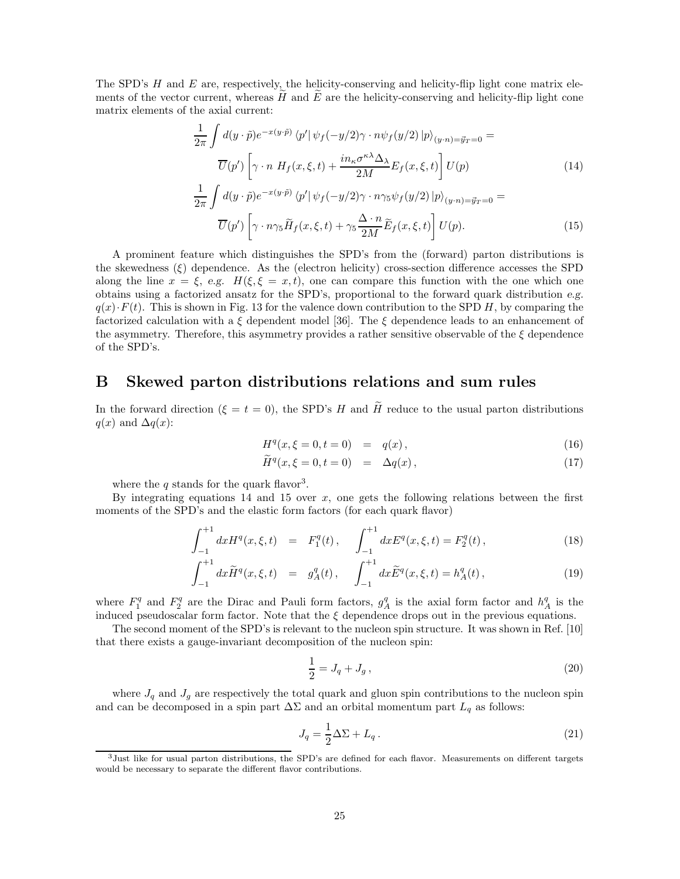The SPD's  $H$  and  $E$  are, respectively, the helicity-conserving and helicity-flip light cone matrix elements of the vector current, whereas  $\tilde{H}$  and  $\tilde{E}$  are the helicity-conserving and helicity-flip light cone matrix elements of the axial current:

$$
\frac{1}{2\pi} \int d(y \cdot \tilde{p}) e^{-x(y \cdot \tilde{p})} \langle p' | \psi_f(-y/2) \gamma \cdot n \psi_f(y/2) | p \rangle_{(y \cdot n) = \vec{y}_T = 0} =
$$
\n
$$
\overline{U}(p') \left[ \gamma \cdot n \ H_f(x, \xi, t) + \frac{in_{\kappa} \sigma^{\kappa \lambda} \Delta_{\lambda}}{2M} E_f(x, \xi, t) \right] U(p)
$$
\n
$$
\frac{1}{2\pi} \int d(y \cdot \tilde{p}) e^{-x(y \cdot \tilde{p})} \langle p' | \psi_f(-y/2) \gamma \cdot n \gamma_5 \psi_f(y/2) | p \rangle_{(y \cdot n) = \vec{y}_T = 0} =
$$
\n
$$
(14)
$$

$$
\overline{U}(p')\left[\gamma \cdot n\gamma_5 \widetilde{H}_f(x,\xi,t) + \gamma_5 \frac{\Delta \cdot n}{2M} \widetilde{E}_f(x,\xi,t)\right] U(p). \tag{15}
$$

A prominent feature which distinguishes the SPD's from the (forward) parton distributions is the skewedness  $(\xi)$  dependence. As the (electron helicity) cross-section difference accesses the SPD along the line  $x = \xi$ , *e.g.*  $H(\xi, \xi = x, t)$ , one can compare this function with the one which one obtains using a factorized ansatz for the SPD's, proportional to the forward quark distribution *e.g.*  $q(x) \cdot F(t)$ . This is shown in Fig. 13 for the valence down contribution to the SPD H, by comparing the factorized calculation with a  $\xi$  dependent model [36]. The  $\xi$  dependence leads to an enhancement of the asymmetry. Therefore, this asymmetry provides a rather sensitive observable of the  $\xi$  dependence of the SPD's.

### **B Skewed parton distributions relations and sum rules**

In the forward direction ( $\xi = t = 0$ ), the SPD's H and  $\tilde{H}$  reduce to the usual parton distributions  $q(x)$  and  $\Delta q(x)$ :

$$
H^q(x,\xi=0,t=0) = q(x), \qquad (16)
$$

$$
\widetilde{H}^q(x,\xi=0,t=0) = \Delta q(x), \qquad (17)
$$

where the q stands for the quark flavor<sup>3</sup>.

By integrating equations  $14$  and  $15$  over x, one gets the following relations between the first moments of the SPD's and the elastic form factors (for each quark flavor)

$$
\int_{-1}^{+1} dx H^{q}(x,\xi,t) = F_{1}^{q}(t), \quad \int_{-1}^{+1} dx E^{q}(x,\xi,t) = F_{2}^{q}(t), \tag{18}
$$

$$
\int_{-1}^{+1} dx \widetilde{H}^q(x,\xi,t) = g_A^q(t), \quad \int_{-1}^{+1} dx \widetilde{E}^q(x,\xi,t) = h_A^q(t), \tag{19}
$$

where  $F_1^q$  and  $F_2^q$  are the Dirac and Pauli form factors,  $g_A^q$  is the axial form factor and  $h_A^q$  is the induced pseudoscalar form factor. Note that the  $\xi$  dependence drops out in the previous equations.

The second moment of the SPD's is relevant to the nucleon spin structure. It was shown in Ref. [10] that there exists a gauge-invariant decomposition of the nucleon spin:

$$
\frac{1}{2} = J_q + J_g \,,\tag{20}
$$

where  $J_q$  and  $J_g$  are respectively the total quark and gluon spin contributions to the nucleon spin and can be decomposed in a spin part  $\Delta\Sigma$  and an orbital momentum part  $L_q$  as follows:

$$
J_q = \frac{1}{2}\Delta\Sigma + L_q. \tag{21}
$$

 $3$ Just like for usual parton distributions, the SPD's are defined for each flavor. Measurements on different targets would be necessary to separate the different flavor contributions.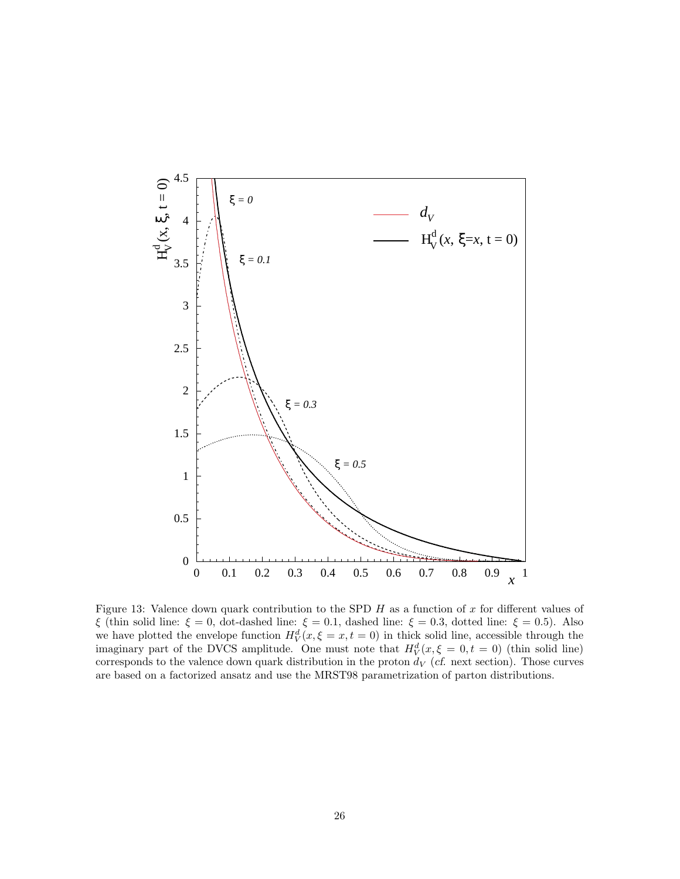

Figure 13: Valence down quark contribution to the SPD  $H$  as a function of  $x$  for different values of ξ (thin solid line: ξ = 0, dot-dashed line: ξ = 0.1, dashed line: ξ = 0.3, dotted line: ξ = 0.5). Also we have plotted the envelope function  $H_V^d(x,\xi=x,t=0)$  in thick solid line, accessible through the imaginary part of the DVCS amplitude. One must note that  $H_V^d(x,\xi=0,t=0)$  (thin solid line) corresponds to the valence down quark distribution in the proton  $d_V$  (*cf.* next section). Those curves are based on a factorized ansatz and use the MRST98 parametrization of parton distributions.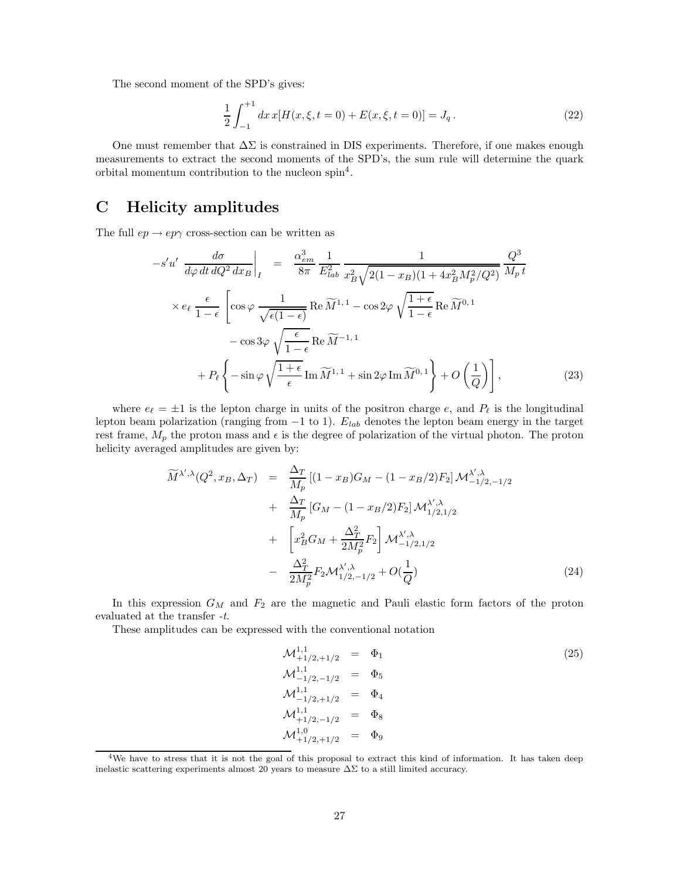The second moment of the SPD's gives:

$$
\frac{1}{2} \int_{-1}^{+1} dx \, x[H(x,\xi,t=0) + E(x,\xi,t=0)] = J_q. \tag{22}
$$

One must remember that  $\Delta\Sigma$  is constrained in DIS experiments. Therefore, if one makes enough measurements to extract the second moments of the SPD's, the sum rule will determine the quark orbital momentum contribution to the nucleon spin<sup>4</sup>.

# **C Helicity amplitudes**

The full  $ep \rightarrow ep\gamma$  cross-section can be written as

$$
-s'u'\frac{d\sigma}{d\varphi dt dQ^2 dx_B}\Big|_{I} = \frac{\alpha_{em}^3}{8\pi} \frac{1}{E_{lab}^2} \frac{1}{x_B^2 \sqrt{2(1 - x_B)(1 + 4x_B^2 M_p^2/Q^2)}} \frac{Q^3}{M_p t}
$$
  

$$
\times e_{\ell} \frac{\epsilon}{1 - \epsilon} \left[ \cos \varphi \frac{1}{\sqrt{\epsilon(1 - \epsilon)}} \operatorname{Re} \widetilde{M}^{1,1} - \cos 2\varphi \sqrt{\frac{1 + \epsilon}{1 - \epsilon}} \operatorname{Re} \widetilde{M}^{0,1} - \cos 3\varphi \sqrt{\frac{\epsilon}{1 - \epsilon}} \operatorname{Re} \widetilde{M}^{-1,1} + P_{\ell} \left\{ -\sin \varphi \sqrt{\frac{1 + \epsilon}{\epsilon}} \operatorname{Im} \widetilde{M}^{1,1} + \sin 2\varphi \operatorname{Im} \widetilde{M}^{0,1} \right\} + O\left(\frac{1}{Q}\right) \right],
$$
(23)

where  $e_{\ell} = \pm 1$  is the lepton charge in units of the positron charge e, and  $P_{\ell}$  is the longitudinal lepton beam polarization (ranging from  $-1$  to 1).  $E_{lab}$  denotes the lepton beam energy in the target rest frame,  $M_p$  the proton mass and  $\epsilon$  is the degree of polarization of the virtual photon. The proton helicity averaged amplitudes are given by:

$$
\widetilde{M}^{\lambda',\lambda}(Q^2, x_B, \Delta_T) = \frac{\Delta_T}{M_p} \left[ (1 - x_B)G_M - (1 - x_B/2)F_2 \right] \mathcal{M}^{\lambda',\lambda}_{-1/2,-1/2} \n+ \frac{\Delta_T}{M_p} \left[ G_M - (1 - x_B/2)F_2 \right] \mathcal{M}^{\lambda',\lambda}_{1/2,1/2} \n+ \left[ x_B^2 G_M + \frac{\Delta_T^2}{2M_p^2} F_2 \right] \mathcal{M}^{\lambda',\lambda}_{-1/2,1/2} \n- \frac{\Delta_T^2}{2M_p^2} F_2 \mathcal{M}^{\lambda',\lambda}_{1/2,-1/2} + O(\frac{1}{Q})
$$
\n(24)

In this expression  $G_M$  and  $F_2$  are the magnetic and Pauli elastic form factors of the proton evaluated at the transfer -t.

These amplitudes can be expressed with the conventional notation

$$
\mathcal{M}_{+1/2,+1/2}^{1,1} = \Phi_1
$$
\n
$$
\mathcal{M}_{-1/2,-1/2}^{1,1} = \Phi_5
$$
\n
$$
\mathcal{M}_{-1/2,+1/2}^{1,1} = \Phi_4
$$
\n
$$
\mathcal{M}_{+1/2,-1/2}^{1,1} = \Phi_8
$$
\n
$$
\mathcal{M}_{+1/2,+1/2}^{1,0} = \Phi_9
$$
\n(25)

<sup>&</sup>lt;sup>4</sup>We have to stress that it is not the goal of this proposal to extract this kind of information. It has taken deep inelastic scattering experiments almost 20 years to measure  $\Delta\Sigma$  to a still limited accuracy.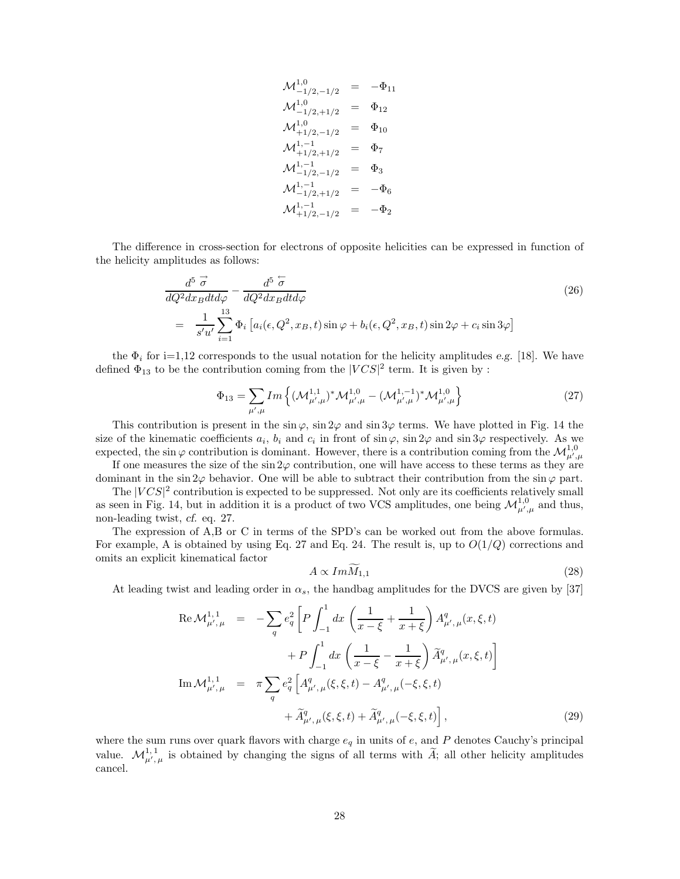$$
\begin{array}{rcl}\n\mathcal{M}^{1,0}_{-1/2,-1/2} & = & -\Phi_{11} \\
\mathcal{M}^{1,0}_{-1/2,+1/2} & = & \Phi_{12} \\
\mathcal{M}^{1,0}_{+1/2,-1/2} & = & \Phi_{10} \\
\mathcal{M}^{1,-1}_{+1/2,+1/2} & = & \Phi_{7} \\
\mathcal{M}^{1,-1}_{-1/2,-1/2} & = & \Phi_{3} \\
\mathcal{M}^{1,-1}_{-1/2,+1/2} & = & -\Phi_{6} \\
\mathcal{M}^{1,-1}_{+1/2,-1/2} & = & -\Phi_{2}\n\end{array}
$$

The difference in cross-section for electrons of opposite helicities can be expressed in function of the helicity amplitudes as follows:

$$
\frac{d^5 \vec{\sigma}}{dQ^2 dx_B dt d\varphi} - \frac{d^5 \vec{\sigma}}{dQ^2 dx_B dt d\varphi}
$$
\n
$$
= \frac{1}{s'u'} \sum_{i=1}^{13} \Phi_i \left[ a_i(\epsilon, Q^2, x_B, t) \sin \varphi + b_i(\epsilon, Q^2, x_B, t) \sin 2\varphi + c_i \sin 3\varphi \right]
$$
\n(26)

the  $\Phi_i$  for i=1,12 corresponds to the usual notation for the helicity amplitudes *e.g.* [18]. We have defined  $\Phi_{13}$  to be the contribution coming from the  $|VCS|^2$  term. It is given by :

$$
\Phi_{13} = \sum_{\mu',\mu} Im \left\{ (\mathcal{M}_{\mu',\mu}^{1,1})^* \mathcal{M}_{\mu',\mu}^{1,0} - (\mathcal{M}_{\mu',\mu}^{1,-1})^* \mathcal{M}_{\mu',\mu}^{1,0} \right\}
$$
(27)

This contribution is present in the  $\sin \varphi$ ,  $\sin 2\varphi$  and  $\sin 3\varphi$  terms. We have plotted in Fig. 14 the size of the kinematic coefficients  $a_i$ ,  $b_i$  and  $c_i$  in front of sin $\varphi$ , sin  $2\varphi$  and sin  $3\varphi$  respectively. As we expected, the sin  $\varphi$  contribution is dominant. However, there is a contribution coming from the  $\mathcal{M}^{1,0}_{\mu',\mu'}$ 

If one measures the size of the  $\sin 2\varphi$  contribution, one will have access to these terms as they are dominant in the sin  $2\varphi$  behavior. One will be able to subtract their contribution from the sin $\varphi$  part.

The  $|VCS|^2$  contribution is expected to be suppressed. Not only are its coefficients relatively small as seen in Fig. 14, but in addition it is a product of two VCS amplitudes, one being  $\mathcal{M}_{\mu',\mu}^{1,0}$  and thus, non-leading twist, *cf.* eq. 27.

The expression of A,B or C in terms of the SPD's can be worked out from the above formulas. For example, A is obtained by using Eq. 27 and Eq. 24. The result is, up to  $O(1/Q)$  corrections and omits an explicit kinematical factor

$$
A \propto Im M_{1,1} \tag{28}
$$

At leading twist and leading order in  $\alpha_s$ , the handbag amplitudes for the DVCS are given by [37]

$$
\operatorname{Re}\mathcal{M}^{1,1}_{\mu',\mu} = -\sum_{q} e_{q}^{2} \left[ P \int_{-1}^{1} dx \left( \frac{1}{x-\xi} + \frac{1}{x+\xi} \right) A^{q}_{\mu',\mu}(x,\xi,t) \right. \n+ P \int_{-1}^{1} dx \left( \frac{1}{x-\xi} - \frac{1}{x+\xi} \right) \widetilde{A}^{q}_{\mu',\mu}(x,\xi,t) \right] \n\operatorname{Im}\mathcal{M}^{1,1}_{\mu',\mu} = \pi \sum_{q} e_{q}^{2} \left[ A^{q}_{\mu',\mu}(\xi,\xi,t) - A^{q}_{\mu',\mu}(-\xi,\xi,t) \right. \n+ \widetilde{A}^{q}_{\mu',\mu}(\xi,\xi,t) + \widetilde{A}^{q}_{\mu',\mu}(-\xi,\xi,t) \right],
$$
\n(29)

where the sum runs over quark flavors with charge  $e_q$  in units of e, and P denotes Cauchy's principal value.  $\mathcal{M}_{\mu',\mu}^{1,1}$  is obtained by changing the signs of all terms with  $\widetilde{A}$ ; all other helicity amplitudes cancel.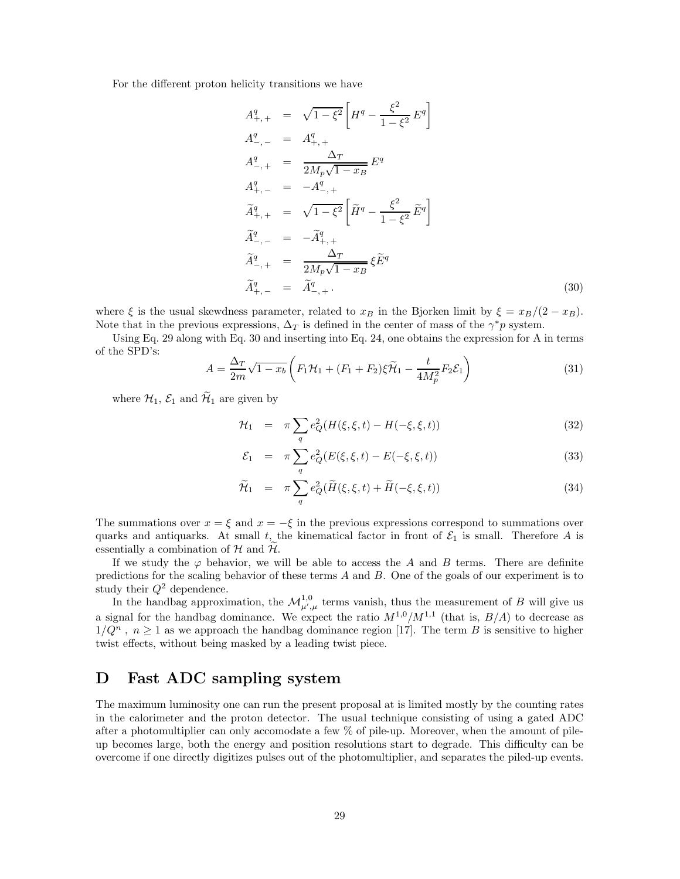For the different proton helicity transitions we have

$$
A_{+,+}^{q} = \sqrt{1 - \xi^{2}} \left[ H^{q} - \frac{\xi^{2}}{1 - \xi^{2}} E^{q} \right]
$$
  
\n
$$
A_{-,+}^{q} = A_{+,+}^{q}
$$
  
\n
$$
A_{-,+}^{q} = \frac{\Delta_{T}}{2M_{p}\sqrt{1 - x_{B}}} E^{q}
$$
  
\n
$$
A_{+,-}^{q} = -A_{-,+}^{q}
$$
  
\n
$$
\tilde{A}_{+,+}^{q} = \sqrt{1 - \xi^{2}} \left[ \tilde{H}^{q} - \frac{\xi^{2}}{1 - \xi^{2}} \tilde{E}^{q} \right]
$$
  
\n
$$
\tilde{A}_{-,+}^{q} = -\tilde{A}_{+,+}^{q}
$$
  
\n
$$
\tilde{A}_{-,+}^{q} = \frac{\Delta_{T}}{2M_{p}\sqrt{1 - x_{B}}} \xi \tilde{E}^{q}
$$
  
\n
$$
\tilde{A}_{+,-}^{q} = \tilde{A}_{-,+}^{q}.
$$
  
\n(30)

where  $\xi$  is the usual skewdness parameter, related to  $x_B$  in the Bjorken limit by  $\xi = x_B/(2 - x_B)$ . Note that in the previous expressions,  $\Delta_T$  is defined in the center of mass of the  $\gamma^*p$  system.

Using Eq. 29 along with Eq. 30 and inserting into Eq. 24, one obtains the expression for A in terms of the SPD's:

$$
A = \frac{\Delta_T}{2m}\sqrt{1-x_b}\left(F_1\mathcal{H}_1 + (F_1 + F_2)\xi\widetilde{\mathcal{H}}_1 - \frac{t}{4M_p^2}F_2\mathcal{E}_1\right)
$$
(31)

where  $\mathcal{H}_1$ ,  $\mathcal{E}_1$  and  $\widetilde{\mathcal{H}}_1$  are given by

$$
\mathcal{H}_1 = \pi \sum_{q} e_Q^2 (H(\xi, \xi, t) - H(-\xi, \xi, t)) \tag{32}
$$

$$
\mathcal{E}_1 = \pi \sum_{q} e_Q^2 (E(\xi, \xi, t) - E(-\xi, \xi, t)) \tag{33}
$$

$$
\widetilde{\mathcal{H}}_1 = \pi \sum_{q} e_Q^2 (\widetilde{H}(\xi, \xi, t) + \widetilde{H}(-\xi, \xi, t)) \tag{34}
$$

The summations over  $x = \xi$  and  $x = -\xi$  in the previous expressions correspond to summations over quarks and antiquarks. At small t, the kinematical factor in front of  $\mathcal{E}_1$  is small. Therefore A is essentially a combination of  $H$  and  $\widetilde{H}$ .

If we study the  $\varphi$  behavior, we will be able to access the A and B terms. There are definite predictions for the scaling behavior of these terms A and B. One of the goals of our experiment is to study their  $Q^2$  dependence.

In the handbag approximation, the  $\mathcal{M}_{\mu',\mu}^{1,0}$  terms vanish, thus the measurement of B will give us a signal for the handbag dominance. We expect the ratio  $M^{1,0}/M^{1,1}$  (that is,  $B/A$ ) to decrease as  $1/Q^n$ ,  $n \geq 1$  as we approach the handbag dominance region [17]. The term B is sensitive to higher twist effects, without being masked by a leading twist piece.

# **D Fast ADC sampling system**

The maximum luminosity one can run the present proposal at is limited mostly by the counting rates in the calorimeter and the proton detector. The usual technique consisting of using a gated ADC after a photomultiplier can only accomodate a few % of pile-up. Moreover, when the amount of pileup becomes large, both the energy and position resolutions start to degrade. This difficulty can be overcome if one directly digitizes pulses out of the photomultiplier, and separates the piled-up events.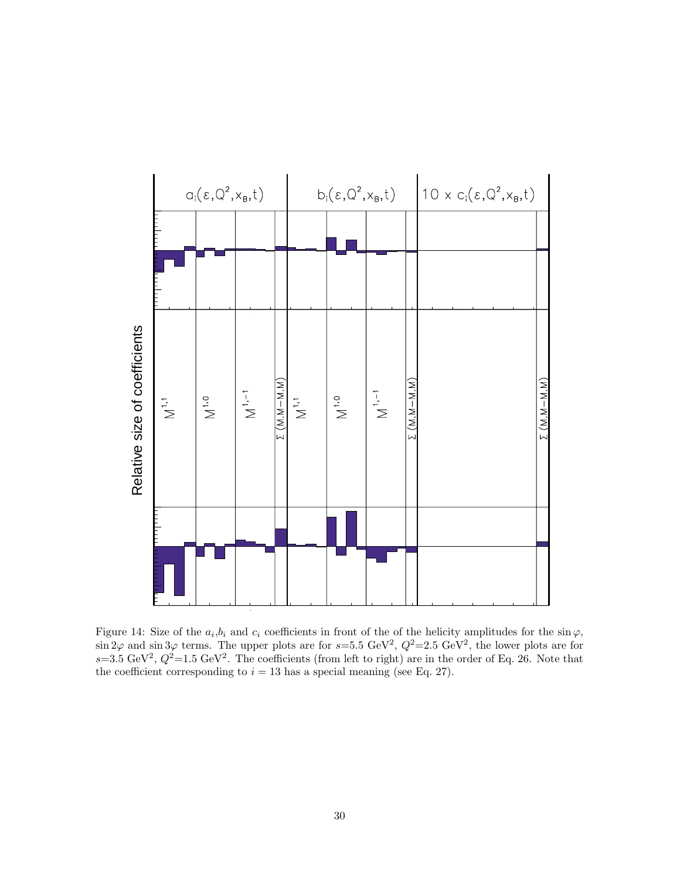

Figure 14: Size of the  $a_i,b_i$  and  $c_i$  coefficients in front of the of the helicity amplitudes for the  $\sin \varphi$ ,  $\sin 2\varphi$  and  $\sin 3\varphi$  terms. The upper plots are for  $s=5.5$  GeV<sup>2</sup>,  $Q^2=2.5$  GeV<sup>2</sup>, the lower plots are for  $s=3.5 \text{ GeV}^2$ ,  $Q^2=1.5 \text{ GeV}^2$ . The coefficients (from left to right) are in the order of Eq. 26. Note that the coefficient corresponding to  $i = 13$  has a special meaning (see Eq. 27).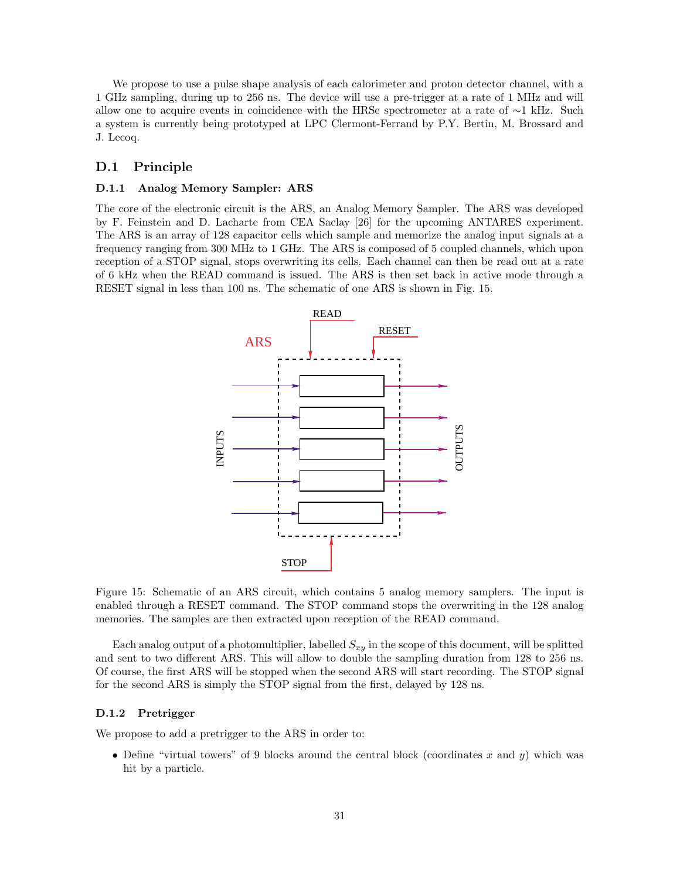We propose to use a pulse shape analysis of each calorimeter and proton detector channel, with a 1 GHz sampling, during up to 256 ns. The device will use a pre-trigger at a rate of 1 MHz and will allow one to acquire events in coincidence with the HRSe spectrometer at a rate of  $\sim$ 1 kHz. Such a system is currently being prototyped at LPC Clermont-Ferrand by P.Y. Bertin, M. Brossard and J. Lecoq.

#### **D.1 Principle**

#### **D.1.1 Analog Memory Sampler:ARS**

The core of the electronic circuit is the ARS, an Analog Memory Sampler. The ARS was developed by F. Feinstein and D. Lacharte from CEA Saclay [26] for the upcoming ANTARES experiment. The ARSis an array of 128 capacitor cells which sample and memorize the analog input signals at a frequency ranging from 300 MHz to 1 GHz. The ARSis composed of 5 coupled channels, which upon reception of a STOP signal, stops overwriting its cells. Each channel can then be read out at a rate of 6 kHz when the READ command is issued. The ARSis then set back in active mode through a RESET signal in less than 100 ns. The schematic of one ARS is shown in Fig. 15.



Figure 15: Schematic of an ARS circuit, which contains 5 analog memory samplers. The input is enabled through a RESET command. The STOP command stops the overwriting in the 128 analog memories. The samples are then extracted upon reception of the READ command.

Each analog output of a photomultiplier, labelled  $S_{xy}$  in the scope of this document, will be splitted and sent to two different ARS. This will allow to double the sampling duration from 128 to 256 ns. Of course, the first ARS will be stopped when the second ARS will start recording. The STOP signal for the second ARS is simply the STOP signal from the first, delayed by 128 ns.

#### **D.1.2 Pretrigger**

We propose to add a pretrigger to the ARS in order to:

• Define "virtual towers" of 9 blocks around the central block (coordinates x and y) which was hit by a particle.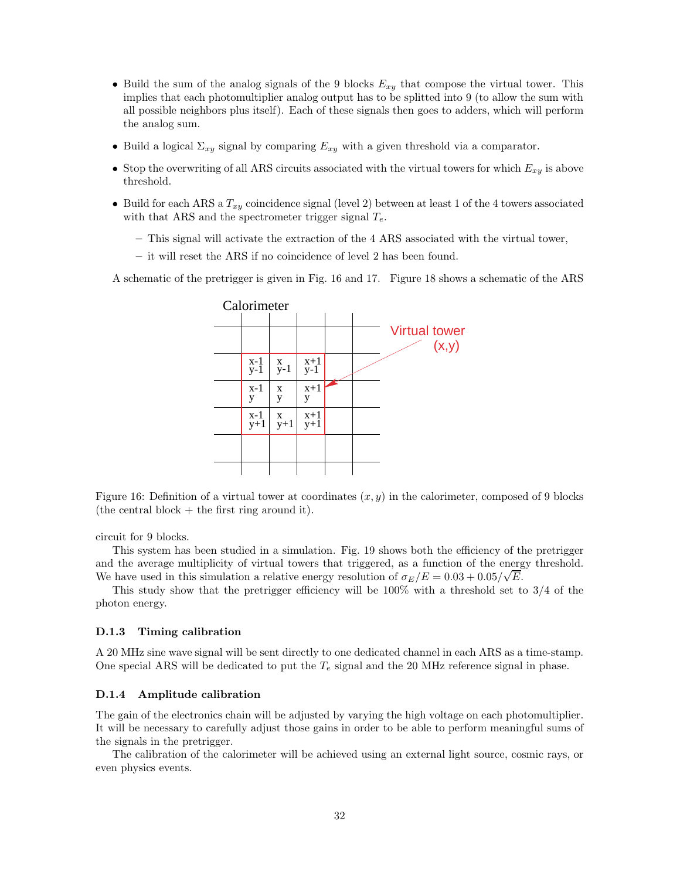- Build the sum of the analog signals of the 9 blocks  $E_{xy}$  that compose the virtual tower. This implies that each photomultiplier analog output has to be splitted into 9 (to allow the sum with all possible neighbors plus itself). Each of these signals then goes to adders, which will perform the analog sum.
- Build a logical  $\Sigma_{xy}$  signal by comparing  $E_{xy}$  with a given threshold via a comparator.
- Stop the overwriting of all ARS circuits associated with the virtual towers for which  $E_{xy}$  is above threshold.
- Build for each ARS a  $T_{xy}$  coincidence signal (level 2) between at least 1 of the 4 towers associated with that ARS and the spectrometer trigger signal  $T_e$ .
	- This signal will activate the extraction of the 4 ARS associated with the virtual tower,
	- **–** it will reset the ARSif no coincidence of level 2 has been found.

A schematic of the pretrigger is given in Fig. 16 and 17. Figure 18 shows a schematic of the ARS



Figure 16: Definition of a virtual tower at coordinates  $(x, y)$  in the calorimeter, composed of 9 blocks (the central block  $+$  the first ring around it).

circuit for 9 blocks.

This system has been studied in a simulation. Fig. 19 shows both the efficiency of the pretrigger and the average multiplicity of virtual towers that triggered, as a function of the energy threshold. We have used in this simulation a relative energy resolution of  $\sigma_E/E = 0.03 + 0.05/\sqrt{E}$ .

This study show that the pretrigger efficiency will be 100% with a threshold set to 3/4 of the photon energy.

#### **D.1.3 Timing calibration**

A 20 MHz sine wave signal will be sent directly to one dedicated channel in each ARS as a time-stamp. One special ARS will be dedicated to put the  $T_e$  signal and the 20 MHz reference signal in phase.

#### **D.1.4 Amplitude calibration**

The gain of the electronics chain will be adjusted by varying the high voltage on each photomultiplier. It will be necessary to carefully adjust those gains in order to be able to perform meaningful sums of the signals in the pretrigger.

The calibration of the calorimeter will be achieved using an external light source, cosmic rays, or even physics events.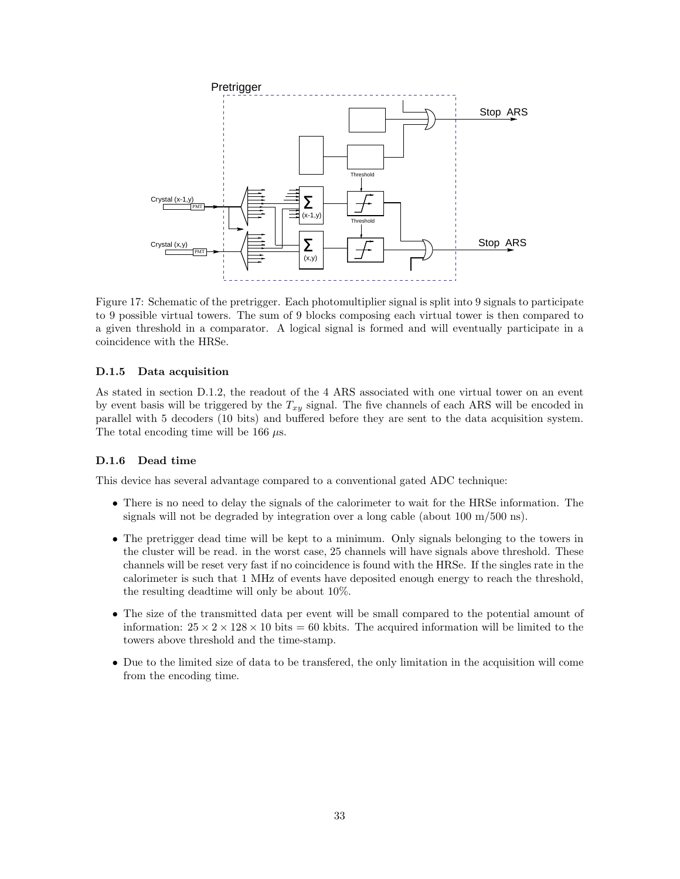

Figure 17: Schematic of the pretrigger. Each photomultiplier signal is split into 9 signals to participate to 9 possible virtual towers. The sum of 9 blocks composing each virtual tower is then compared to a given threshold in a comparator. A logical signal is formed and will eventually participate in a coincidence with the HRSe.

#### **D.1.5 Data acquisition**

As stated in section D.1.2, the readout of the 4 ARS associated with one virtual tower on an event by event basis will be triggered by the  $T_{xy}$  signal. The five channels of each ARS will be encoded in parallel with 5 decoders (10 bits) and buffered before they are sent to the data acquisition system. The total encoding time will be 166  $\mu$ s.

#### **D.1.6 Dead time**

This device has several advantage compared to a conventional gated ADC technique:

- There is no need to delay the signals of the calorimeter to wait for the HRSe information. The signals will not be degraded by integration over a long cable (about 100 m/500 ns).
- The pretrigger dead time will be kept to a minimum. Only signals belonging to the towers in the cluster will be read. in the worst case, 25 channels will have signals above threshold. These channels will be reset very fast if no coincidence is found with the HRSe. If the singles rate in the calorimeter is such that 1 MHz of events have deposited enough energy to reach the threshold, the resulting deadtime will only be about 10%.
- The size of the transmitted data per event will be small compared to the potential amount of information:  $25 \times 2 \times 128 \times 10$  bits = 60 kbits. The acquired information will be limited to the towers above threshold and the time-stamp.
- Due to the limited size of data to be transfered, the only limitation in the acquisition will come from the encoding time.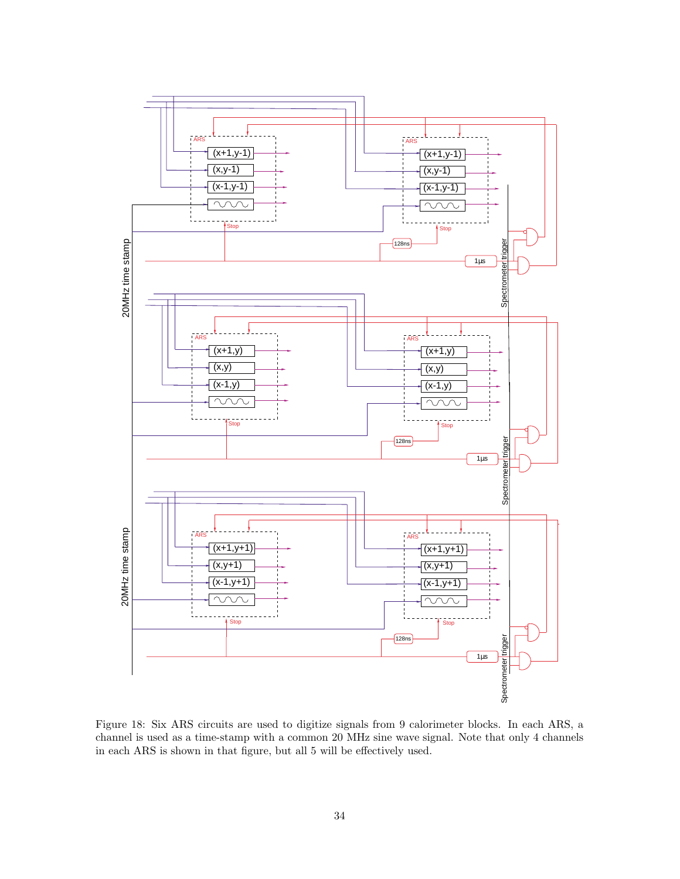

Figure 18: Six ARS circuits are used to digitize signals from 9 calorimeter blocks. In each ARS, a channel is used as a time-stamp with a common 20 MHz sine wave signal. Note that only 4 channels in each ARS is shown in that figure, but all 5 will be effectively used.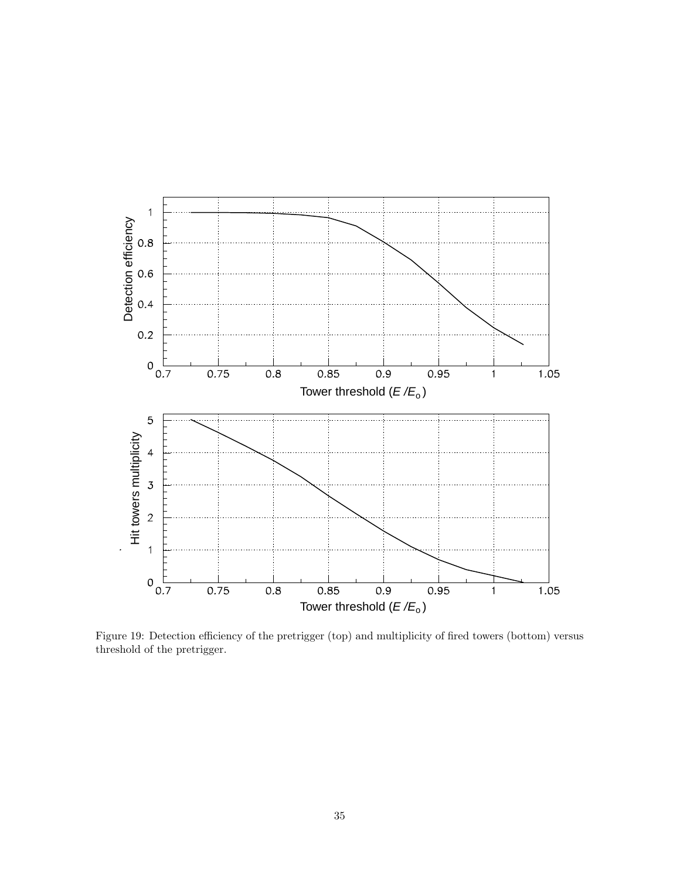

Figure 19: Detection efficiency of the pretrigger (top) and multiplicity of fired towers (bottom) versus threshold of the pretrigger.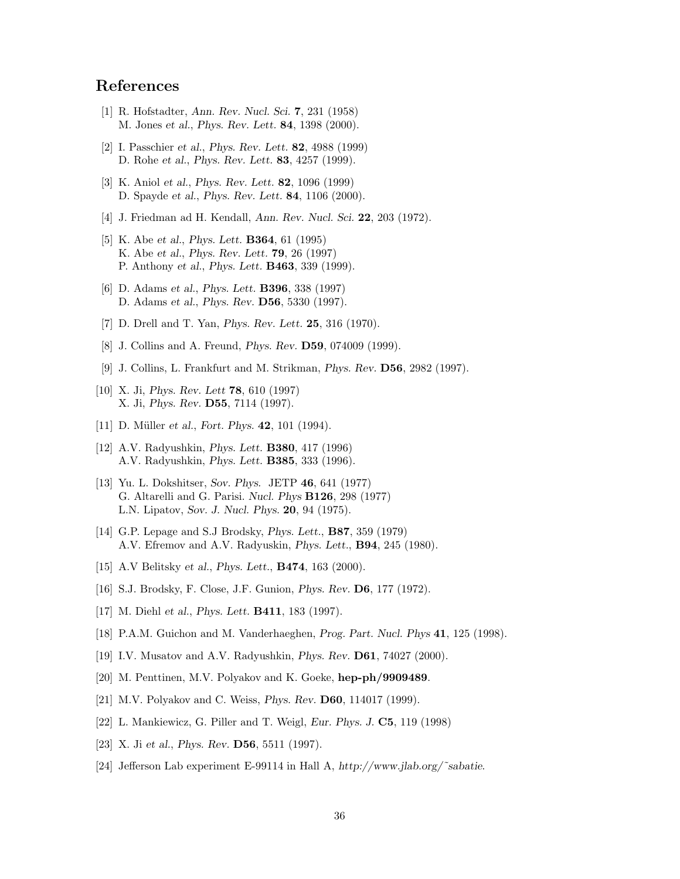# **References**

- [1] R. Hofstadter, *Ann. Rev. Nucl. Sci.* **7**, 231 (1958) M. Jones *et al.*, *Phys. Rev. Lett.* **84**, 1398 (2000).
- [2] I. Passchier *et al.*, *Phys. Rev. Lett.* **82**, 4988 (1999) D. Rohe *et al.*, *Phys. Rev. Lett.* **83**, 4257 (1999).
- [3] K. Aniol *et al.*, *Phys. Rev. Lett.* **82**, 1096 (1999) D. Spayde *et al.*, *Phys. Rev. Lett.* **84**, 1106 (2000).
- [4] J. Friedman ad H. Kendall, *Ann. Rev. Nucl. Sci.* **22**, 203 (1972).
- [5] K. Abe *et al.*, *Phys. Lett.* **B364**, 61 (1995) K. Abe *et al.*, *Phys. Rev. Lett.* **79**, 26 (1997) P. Anthony *et al.*, *Phys. Lett.* **B463**, 339 (1999).
- [6] D. Adams *et al.*, *Phys. Lett.* **B396**, 338 (1997) D. Adams *et al.*, *Phys. Rev.* **D56**, 5330 (1997).
- [7] D. Drell and T. Yan, *Phys. Rev. Lett.* **25**, 316 (1970).
- [8] J. Collins and A. Freund, *Phys. Rev.* **D59**, 074009 (1999).
- [9] J. Collins, L. Frankfurt and M. Strikman, *Phys. Rev.* **D56**, 2982 (1997).
- [10] X. Ji, *Phys. Rev. Lett* **78**, 610 (1997) X. Ji, *Phys. Rev.* **D55**, 7114 (1997).
- [11] D. Müller *et al.*, *Fort. Phys.* **42**, 101 (1994).
- [12] A.V. Radyushkin, *Phys. Lett.* **B380**, 417 (1996) A.V. Radyushkin, *Phys. Lett.* **B385**, 333 (1996).
- [13] Yu. L. Dokshitser, *Sov. Phys.* JETP **46**, 641 (1977) G. Altarelli and G. Parisi. *Nucl. Phys* **B126**, 298 (1977) L.N. Lipatov, *Sov. J. Nucl. Phys.* **20**, 94 (1975).
- [14] G.P. Lepage and S.J Brodsky, *Phys. Lett.*, **B87**, 359 (1979) A.V. Efremov and A.V. Radyuskin, *Phys. Lett.*, **B94**, 245 (1980).
- [15] A.V Belitsky *et al.*, *Phys. Lett.*, **B474**, 163 (2000).
- [16] S .J. Brodsky, F. Close, J.F. Gunion, *Phys. Rev.* **D6**, 177 (1972).
- [17] M. Diehl *et al.*, *Phys. Lett.* **B411**, 183 (1997).
- [18] P.A.M. Guichon and M. Vanderhaeghen, *Prog. Part. Nucl. Phys* **41**, 125 (1998).
- [19] I.V. Musatov and A.V. Radyushkin, *Phys. Rev.* **D61**, 74027 (2000).
- [20] M. Penttinen, M.V. Polyakov and K. Goeke, **hep-ph/9909489**.
- [21] M.V. Polyakov and C. Weiss, *Phys. Rev.* **D60**, 114017 (1999).
- [22] L. Mankiewicz, G. Piller and T. Weigl, *Eur. Phys. J.* **C5**, 119 (1998)
- [23] X. Ji *et al.*, *Phys. Rev.* **D56**, 5511 (1997).
- [24] Jefferson Lab experiment E-99114 in Hall A, *http://www.jlab.org/˜sabatie*.